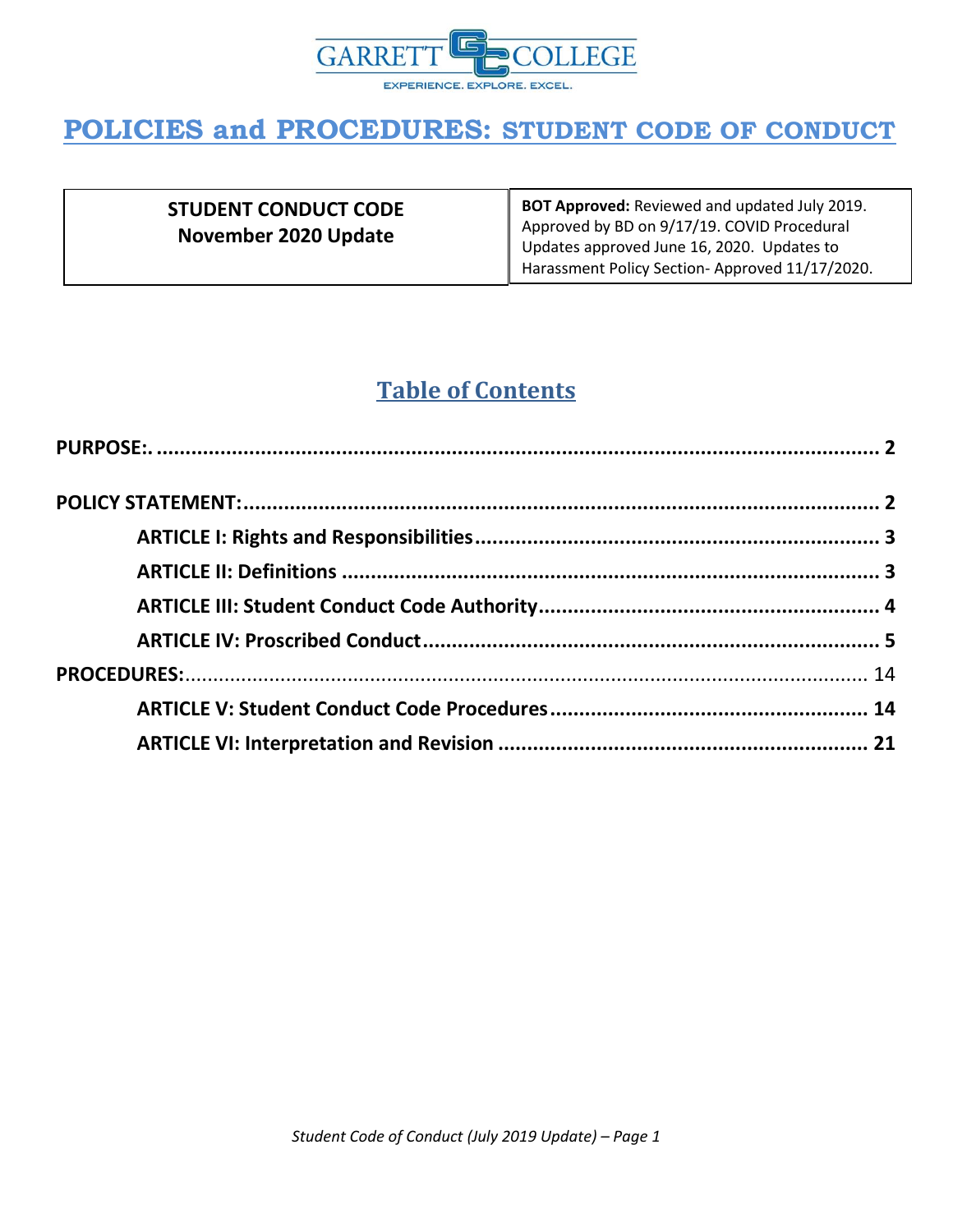

| <b>STUDENT CONDUCT CODE</b><br>November 2020 Update | <b>BOT Approved:</b> Reviewed and updated July 2019.<br>Approved by BD on 9/17/19. COVID Procedural<br>Updates approved June 16, 2020. Updates to<br>Harassment Policy Section-Approved 11/17/2020. |
|-----------------------------------------------------|-----------------------------------------------------------------------------------------------------------------------------------------------------------------------------------------------------|
|-----------------------------------------------------|-----------------------------------------------------------------------------------------------------------------------------------------------------------------------------------------------------|

### **Table of Contents**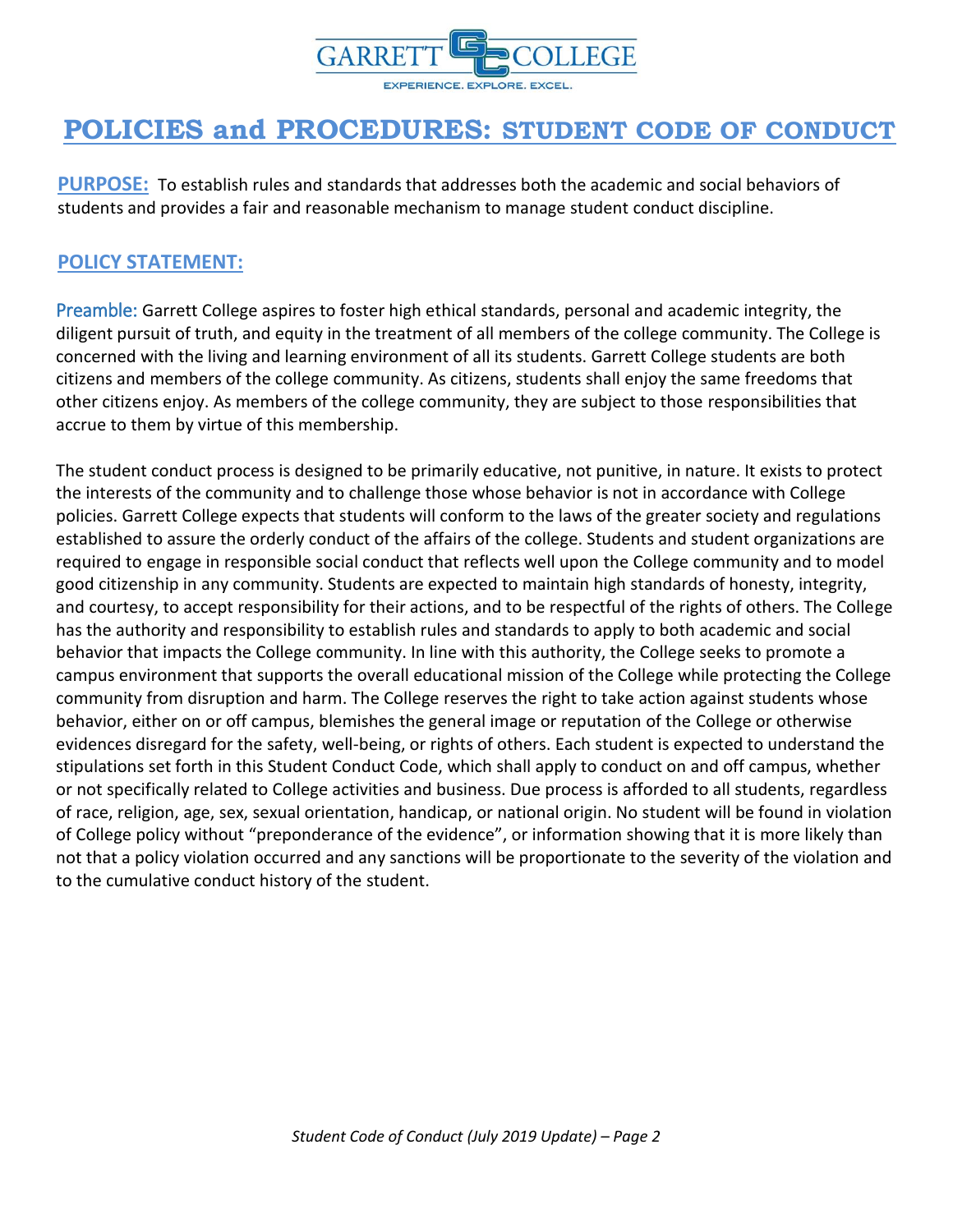

<span id="page-1-0"></span>**PURPOSE:** To establish rules and standards that addresses both the academic and social behaviors of students and provides a fair and reasonable mechanism to manage student conduct discipline.

### <span id="page-1-1"></span>**POLICY STATEMENT:**

Preamble: Garrett College aspires to foster high ethical standards, personal and academic integrity, the diligent pursuit of truth, and equity in the treatment of all members of the college community. The College is concerned with the living and learning environment of all its students. Garrett College students are both citizens and members of the college community. As citizens, students shall enjoy the same freedoms that other citizens enjoy. As members of the college community, they are subject to those responsibilities that accrue to them by virtue of this membership.

The student conduct process is designed to be primarily educative, not punitive, in nature. It exists to protect the interests of the community and to challenge those whose behavior is not in accordance with College policies. Garrett College expects that students will conform to the laws of the greater society and regulations established to assure the orderly conduct of the affairs of the college. Students and student organizations are required to engage in responsible social conduct that reflects well upon the College community and to model good citizenship in any community. Students are expected to maintain high standards of honesty, integrity, and courtesy, to accept responsibility for their actions, and to be respectful of the rights of others. The College has the authority and responsibility to establish rules and standards to apply to both academic and social behavior that impacts the College community. In line with this authority, the College seeks to promote a campus environment that supports the overall educational mission of the College while protecting the College community from disruption and harm. The College reserves the right to take action against students whose behavior, either on or off campus, blemishes the general image or reputation of the College or otherwise evidences disregard for the safety, well-being, or rights of others. Each student is expected to understand the stipulations set forth in this Student Conduct Code, which shall apply to conduct on and off campus, whether or not specifically related to College activities and business. Due process is afforded to all students, regardless of race, religion, age, sex, sexual orientation, handicap, or national origin. No student will be found in violation of College policy without "preponderance of the evidence", or information showing that it is more likely than not that a policy violation occurred and any sanctions will be proportionate to the severity of the violation and to the cumulative conduct history of the student.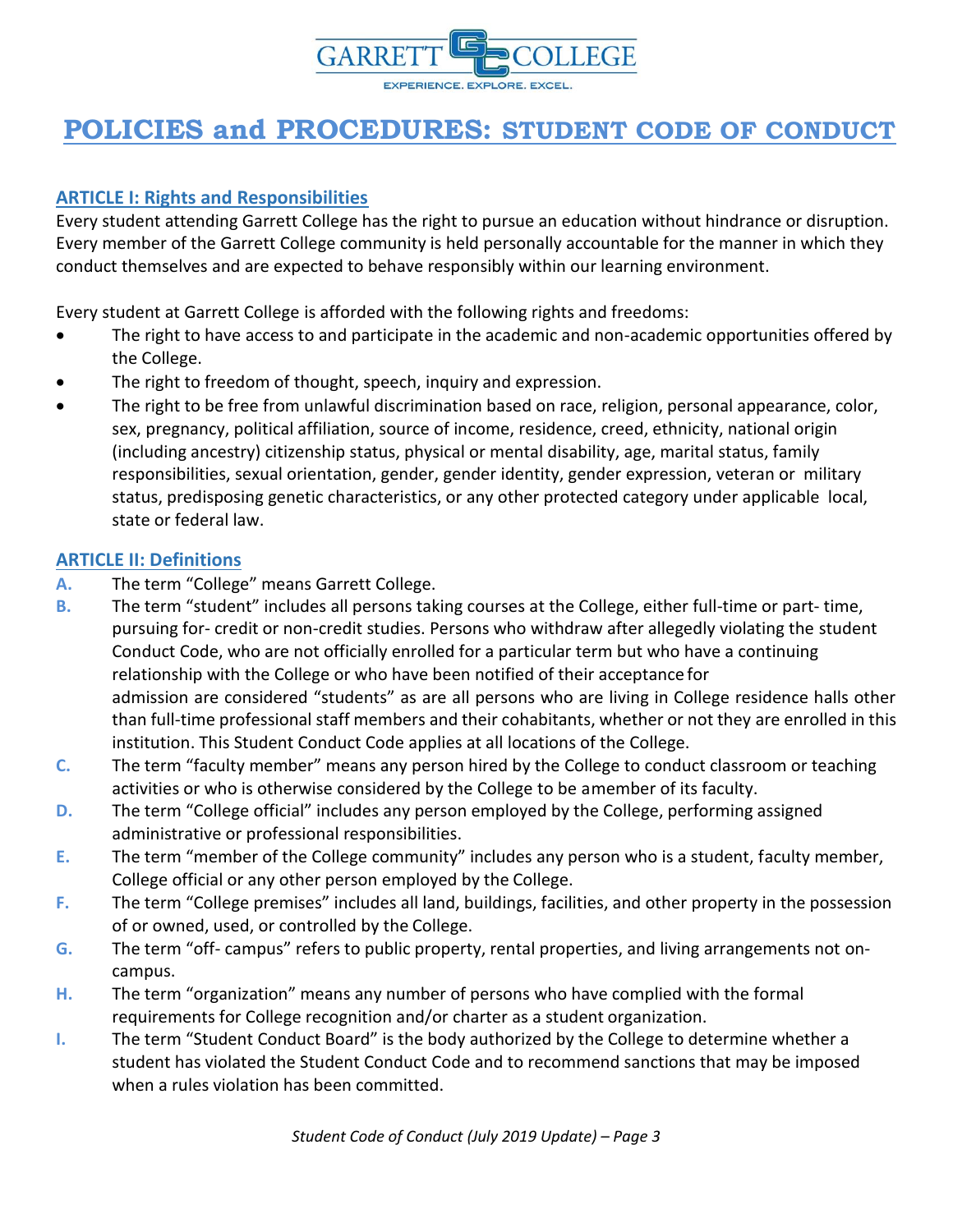

### <span id="page-2-0"></span>**ARTICLE I: Rights and Responsibilities**

Every student attending Garrett College has the right to pursue an education without hindrance or disruption. Every member of the Garrett College community is held personally accountable for the manner in which they conduct themselves and are expected to behave responsibly within our learning environment.

Every student at Garrett College is afforded with the following rights and freedoms:

- The right to have access to and participate in the academic and non-academic opportunities offered by the College.
- The right to freedom of thought, speech, inquiry and expression.
- The right to be free from unlawful discrimination based on race, religion, personal appearance, color, sex, pregnancy, political affiliation, source of income, residence, creed, ethnicity, national origin (including ancestry) citizenship status, physical or mental disability, age, marital status, family responsibilities, sexual orientation, gender, gender identity, gender expression, veteran or military status, predisposing genetic characteristics, or any other protected category under applicable local, state or federal law.

#### <span id="page-2-1"></span>**ARTICLE II: Definitions**

- **A.** The term "College" means Garrett College.
- **B.** The term "student" includes all persons taking courses at the College, either full-time or part- time, pursuing for- credit or non-credit studies. Persons who withdraw after allegedly violating the student Conduct Code, who are not officially enrolled for a particular term but who have a continuing relationship with the College or who have been notified of their acceptance for admission are considered "students" as are all persons who are living in College residence halls other than full-time professional staff members and their cohabitants, whether or not they are enrolled in this institution. This Student Conduct Code applies at all locations of the College.
- **C.** The term "faculty member" means any person hired by the College to conduct classroom or teaching activities or who is otherwise considered by the College to be amember of its faculty.
- **D.** The term "College official" includes any person employed by the College, performing assigned administrative or professional responsibilities.
- **E.** The term "member of the College community" includes any person who is a student, faculty member, College official or any other person employed by the College.
- **F.** The term "College premises" includes all land, buildings, facilities, and other property in the possession of or owned, used, or controlled by the College.
- **G.** The term "off- campus" refers to public property, rental properties, and living arrangements not oncampus.
- **H.** The term "organization" means any number of persons who have complied with the formal requirements for College recognition and/or charter as a student organization.
- **I.** The term "Student Conduct Board" is the body authorized by the College to determine whether a student has violated the Student Conduct Code and to recommend sanctions that may be imposed when a rules violation has been committed.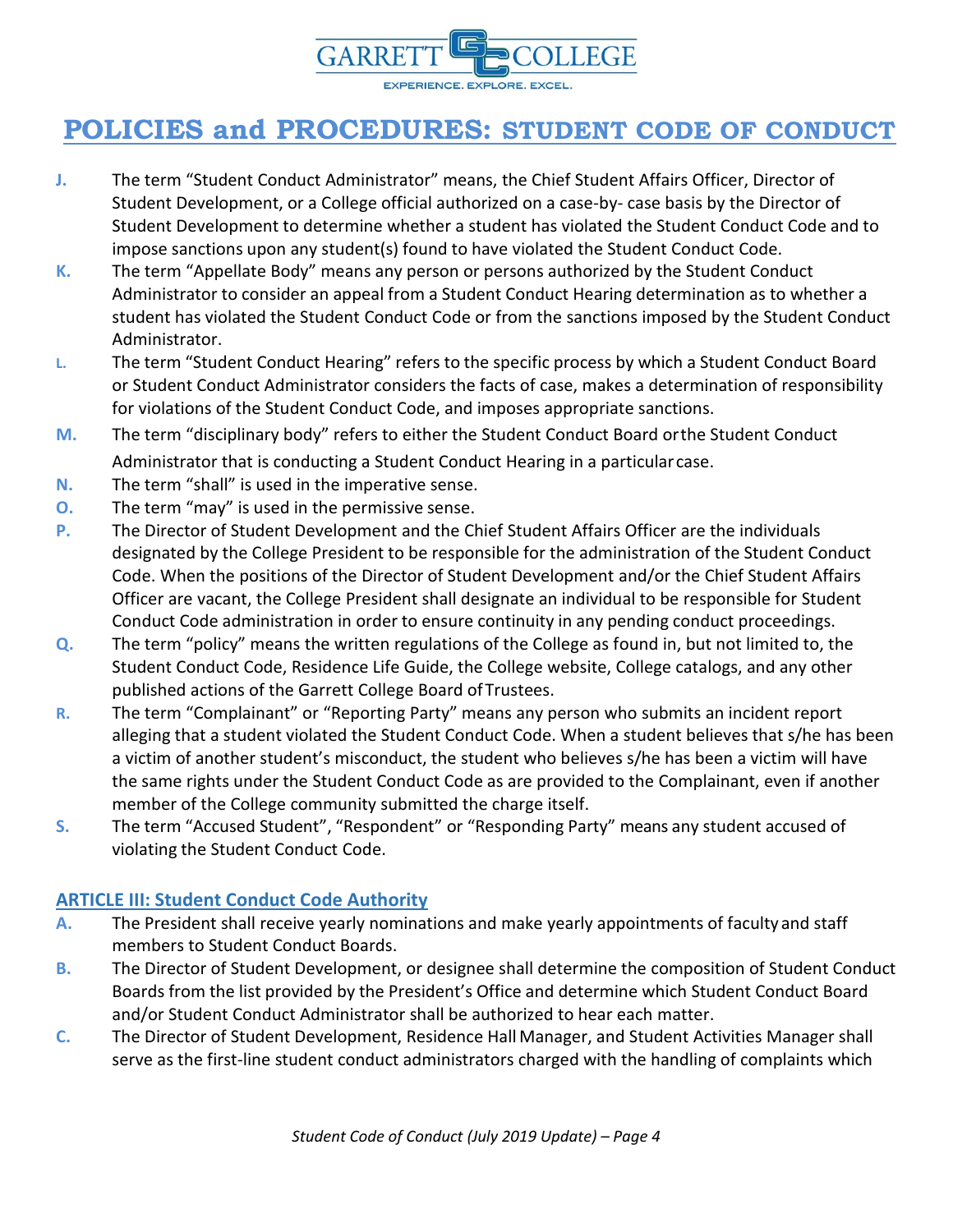

- **J.** The term "Student Conduct Administrator" means, the Chief Student Affairs Officer, Director of Student Development, or a College official authorized on a case-by- case basis by the Director of Student Development to determine whether a student has violated the Student Conduct Code and to impose sanctions upon any student(s) found to have violated the Student Conduct Code.
- **K.** The term "Appellate Body" means any person or persons authorized by the Student Conduct Administrator to consider an appeal from a Student Conduct Hearing determination as to whether a student has violated the Student Conduct Code or from the sanctions imposed by the Student Conduct Administrator.
- **L.** The term "Student Conduct Hearing" refers to the specific process by which a Student Conduct Board or Student Conduct Administrator considers the facts of case, makes a determination of responsibility for violations of the Student Conduct Code, and imposes appropriate sanctions.
- **M.** The term "disciplinary body" refers to either the Student Conduct Board orthe Student Conduct Administrator that is conducting a Student Conduct Hearing in a particular case.
- **N.** The term "shall" is used in the imperative sense.
- **O.** The term "may" is used in the permissive sense.
- **P.** The Director of Student Development and the Chief Student Affairs Officer are the individuals designated by the College President to be responsible for the administration of the Student Conduct Code. When the positions of the Director of Student Development and/or the Chief Student Affairs Officer are vacant, the College President shall designate an individual to be responsible for Student Conduct Code administration in order to ensure continuity in any pending conduct proceedings.
- **Q.** The term "policy" means the written regulations of the College as found in, but not limited to, the Student Conduct Code, Residence Life Guide, the College website, College catalogs, and any other published actions of the Garrett College Board ofTrustees.
- **R.** The term "Complainant" or "Reporting Party" means any person who submits an incident report alleging that a student violated the Student Conduct Code. When a student believes that s/he has been a victim of another student's misconduct, the student who believes s/he has been a victim will have the same rights under the Student Conduct Code as are provided to the Complainant, even if another member of the College community submitted the charge itself.
- **S.** The term "Accused Student", "Respondent" or "Responding Party" means any student accused of violating the Student Conduct Code.

#### <span id="page-3-0"></span>**ARTICLE III: Student Conduct Code Authority**

- **A.** The President shall receive yearly nominations and make yearly appointments of faculty and staff members to Student Conduct Boards.
- **B.** The Director of Student Development, or designee shall determine the composition of Student Conduct Boards from the list provided by the President's Office and determine which Student Conduct Board and/or Student Conduct Administrator shall be authorized to hear each matter.
- **C.** The Director of Student Development, Residence Hall Manager, and Student Activities Manager shall serve as the first-line student conduct administrators charged with the handling of complaints which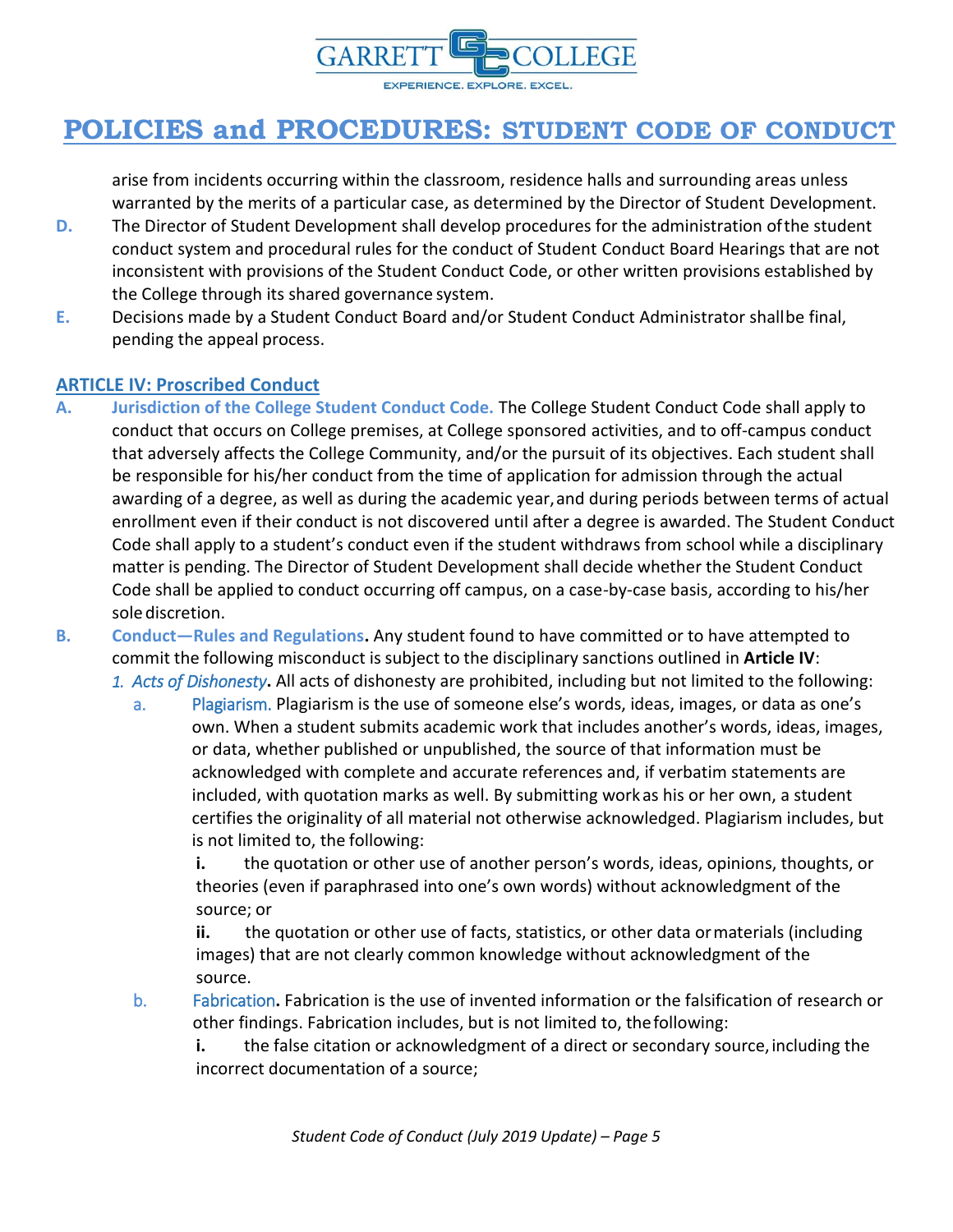

arise from incidents occurring within the classroom, residence halls and surrounding areas unless warranted by the merits of a particular case, as determined by the Director of Student Development.

- **D.** The Director of Student Development shall develop procedures for the administration ofthe student conduct system and procedural rules for the conduct of Student Conduct Board Hearings that are not inconsistent with provisions of the Student Conduct Code, or other written provisions established by the College through its shared governance system.
- **E.** Decisions made by a Student Conduct Board and/or Student Conduct Administrator shallbe final, pending the appeal process.

#### <span id="page-4-0"></span>**ARTICLE IV: Proscribed Conduct**

- **A. Jurisdiction of the College Student Conduct Code.** The College Student Conduct Code shall apply to conduct that occurs on College premises, at College sponsored activities, and to off-campus conduct that adversely affects the College Community, and/or the pursuit of its objectives. Each student shall be responsible for his/her conduct from the time of application for admission through the actual awarding of a degree, as well as during the academic year, and during periods between terms of actual enrollment even if their conduct is not discovered until after a degree is awarded. The Student Conduct Code shall apply to a student's conduct even if the student withdraws from school while a disciplinary matter is pending. The Director of Student Development shall decide whether the Student Conduct Code shall be applied to conduct occurring off campus, on a case-by-case basis, according to his/her sole discretion.
- **B. Conduct—Rules and Regulations.** Any student found to have committed or to have attempted to commit the following misconduct is subject to the disciplinary sanctions outlined in **Article IV**: *1. Acts of Dishonesty***.** All acts of dishonesty are prohibited, including but not limited to the following:
	- a. Plagiarism. Plagiarism is the use of someone else's words, ideas, images, or data as one's own. When a student submits academic work that includes another's words, ideas, images, or data, whether published or unpublished, the source of that information must be acknowledged with complete and accurate references and, if verbatim statements are included, with quotation marks as well. By submitting workas his or her own, a student certifies the originality of all material not otherwise acknowledged. Plagiarism includes, but is not limited to, the following:

**i.** the quotation or other use of another person's words, ideas, opinions, thoughts, or theories (even if paraphrased into one's own words) without acknowledgment of the source; or

**ii.** the quotation or other use of facts, statistics, or other data ormaterials (including images) that are not clearly common knowledge without acknowledgment of the source.

b. Fabrication**.** Fabrication is the use of invented information or the falsification of research or other findings. Fabrication includes, but is not limited to, thefollowing:

**i.** the false citation or acknowledgment of a direct or secondary source, including the incorrect documentation of a source;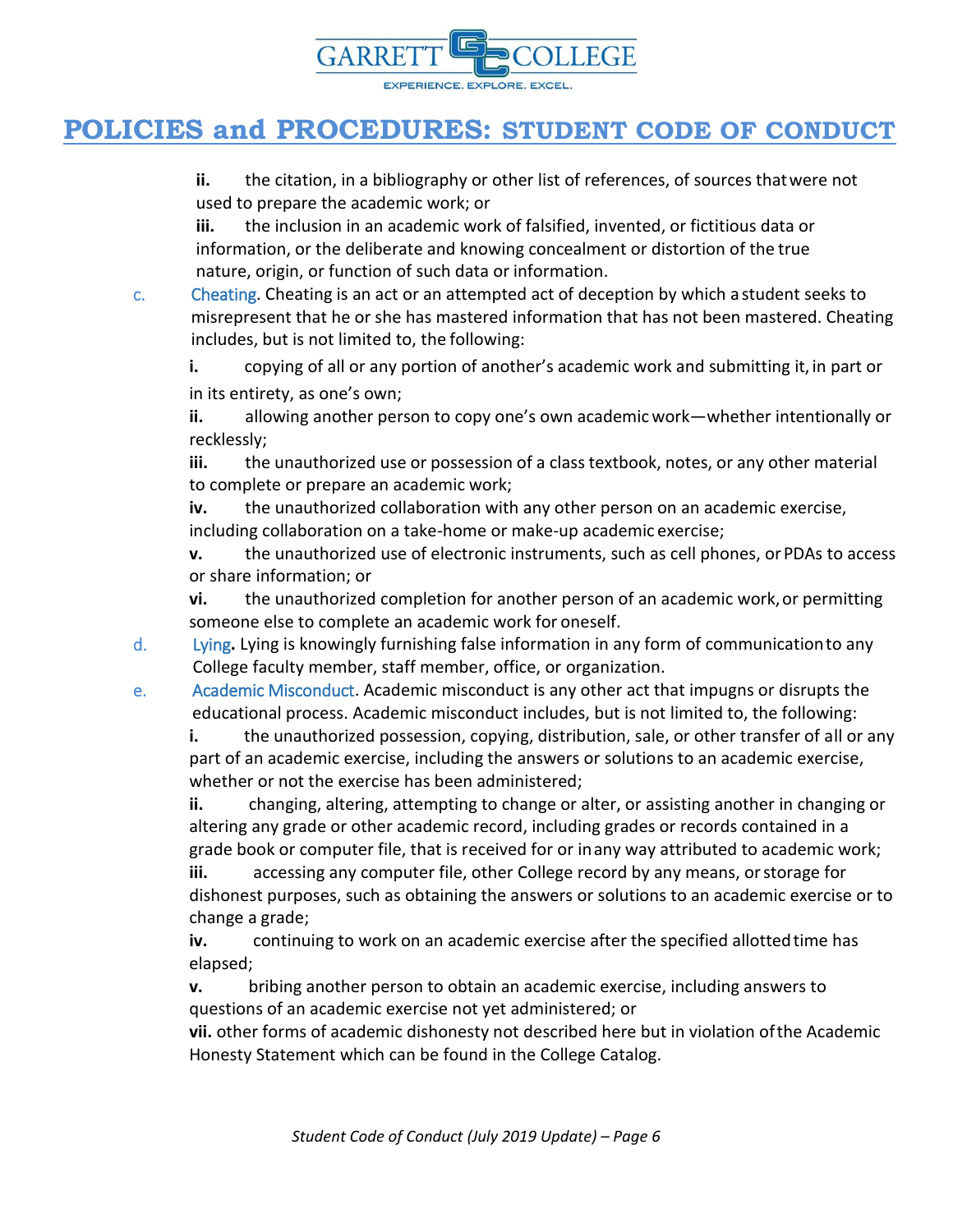

**ii.** the citation, in a bibliography or other list of references, of sources thatwere not used to prepare the academic work; or

**iii.** the inclusion in an academic work of falsified, invented, or fictitious data or information, or the deliberate and knowing concealment or distortion of the true nature, origin, or function of such data or information.

c. Cheating. Cheating is an act or an attempted act of deception by which a student seeks to misrepresent that he or she has mastered information that has not been mastered. Cheating includes, but is not limited to, the following:

**i.** copying of all or any portion of another's academic work and submitting it, in part or in its entirety, as one's own;

**ii.** allowing another person to copy one's own academicwork—whether intentionally or recklessly;

**iii.** the unauthorized use or possession of a class textbook, notes, or any other material to complete or prepare an academic work;

**iv.** the unauthorized collaboration with any other person on an academic exercise, including collaboration on a take-home or make-up academic exercise;

**v.** the unauthorized use of electronic instruments, such as cell phones, or PDAs to access or share information; or

**vi.** the unauthorized completion for another person of an academic work, or permitting someone else to complete an academic work for oneself.

- d. Lying**.** Lying is knowingly furnishing false information in any form of communicationto any College faculty member, staff member, office, or organization.
- e. Academic Misconduct. Academic misconduct is any other act that impugns or disrupts the educational process. Academic misconduct includes, but is not limited to, the following:

**i.** the unauthorized possession, copying, distribution, sale, or other transfer of all or any part of an academic exercise, including the answers or solutions to an academic exercise, whether or not the exercise has been administered;

**ii.** changing, altering, attempting to change or alter, or assisting another in changing or altering any grade or other academic record, including grades or records contained in a grade book or computer file, that is received for or inany way attributed to academic work; **iii.** accessing any computer file, other College record by any means, orstorage for

dishonest purposes, such as obtaining the answers or solutions to an academic exercise or to change a grade;

iv. continuing to work on an academic exercise after the specified allotted time has elapsed;

**v.** bribing another person to obtain an academic exercise, including answers to questions of an academic exercise not yet administered; or

**vii.** other forms of academic dishonesty not described here but in violation ofthe Academic Honesty Statement which can be found in the College Catalog.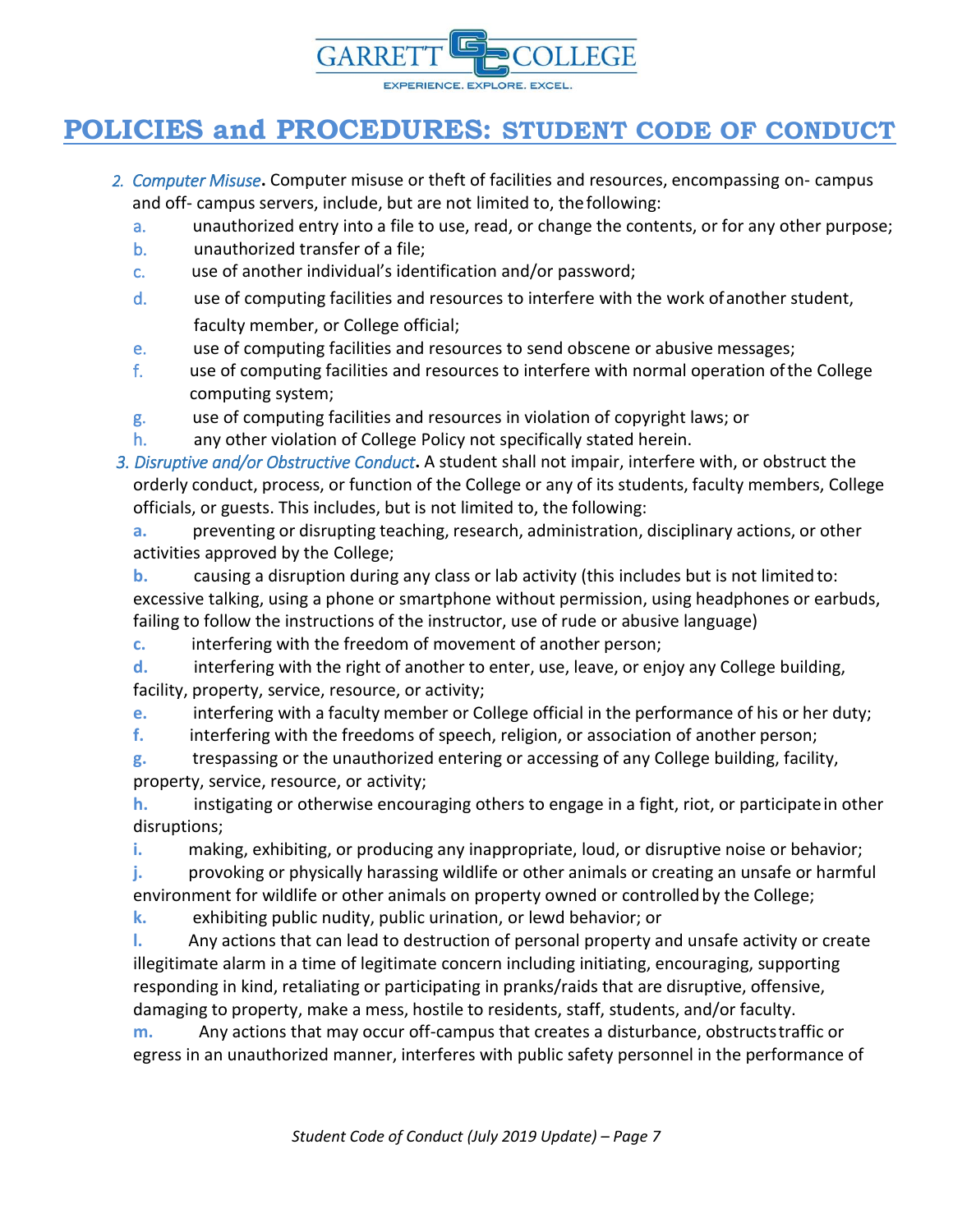

- *2. Computer Misuse***.** Computer misuse or theft of facilities and resources, encompassing on- campus and off- campus servers, include, but are not limited to, thefollowing:
	- a. unauthorized entry into a file to use, read, or change the contents, or for any other purpose;
	- b. unauthorized transfer of a file;
	- c. use of another individual's identification and/or password;
	- d. use of computing facilities and resources to interfere with the work ofanother student, faculty member, or College official;
	- e. use of computing facilities and resources to send obscene or abusive messages;
	- f. use of computing facilities and resources to interfere with normal operation ofthe College computing system;
	- g. use of computing facilities and resources in violation of copyright laws; or
	- h. any other violation of College Policy not specifically stated herein.
- *3. Disruptive and/or Obstructive Conduct***.** A student shall not impair, interfere with, or obstruct the orderly conduct, process, or function of the College or any of its students, faculty members, College officials, or guests. This includes, but is not limited to, the following:

**a.** preventing or disrupting teaching, research, administration, disciplinary actions, or other activities approved by the College;

**b.** causing a disruption during any class or lab activity (this includes but is not limitedto: excessive talking, using a phone or smartphone without permission, using headphones or earbuds, failing to follow the instructions of the instructor, use of rude or abusive language)

**c.** interfering with the freedom of movement of another person;

**d.** interfering with the right of another to enter, use, leave, or enjoy any College building, facility, property, service, resource, or activity;

- **e.** interfering with a faculty member or College official in the performance of his or her duty;
- **f.** interfering with the freedoms of speech, religion, or association of another person;

**g.** trespassing or the unauthorized entering or accessing of any College building, facility, property, service, resource, or activity;

**h.** instigating or otherwise encouraging others to engage in a fight, riot, or participatein other disruptions;

**i.** making, exhibiting, or producing any inappropriate, loud, or disruptive noise or behavior;

**j.** provoking or physically harassing wildlife or other animals or creating an unsafe or harmful environment for wildlife or other animals on property owned or controlled by the College;

**k.** exhibiting public nudity, public urination, or lewd behavior; or

**l.** Any actions that can lead to destruction of personal property and unsafe activity or create illegitimate alarm in a time of legitimate concern including initiating, encouraging, supporting responding in kind, retaliating or participating in pranks/raids that are disruptive, offensive, damaging to property, make a mess, hostile to residents, staff, students, and/or faculty.

**m.** Any actions that may occur off-campus that creates a disturbance, obstructstraffic or egress in an unauthorized manner, interferes with public safety personnel in the performance of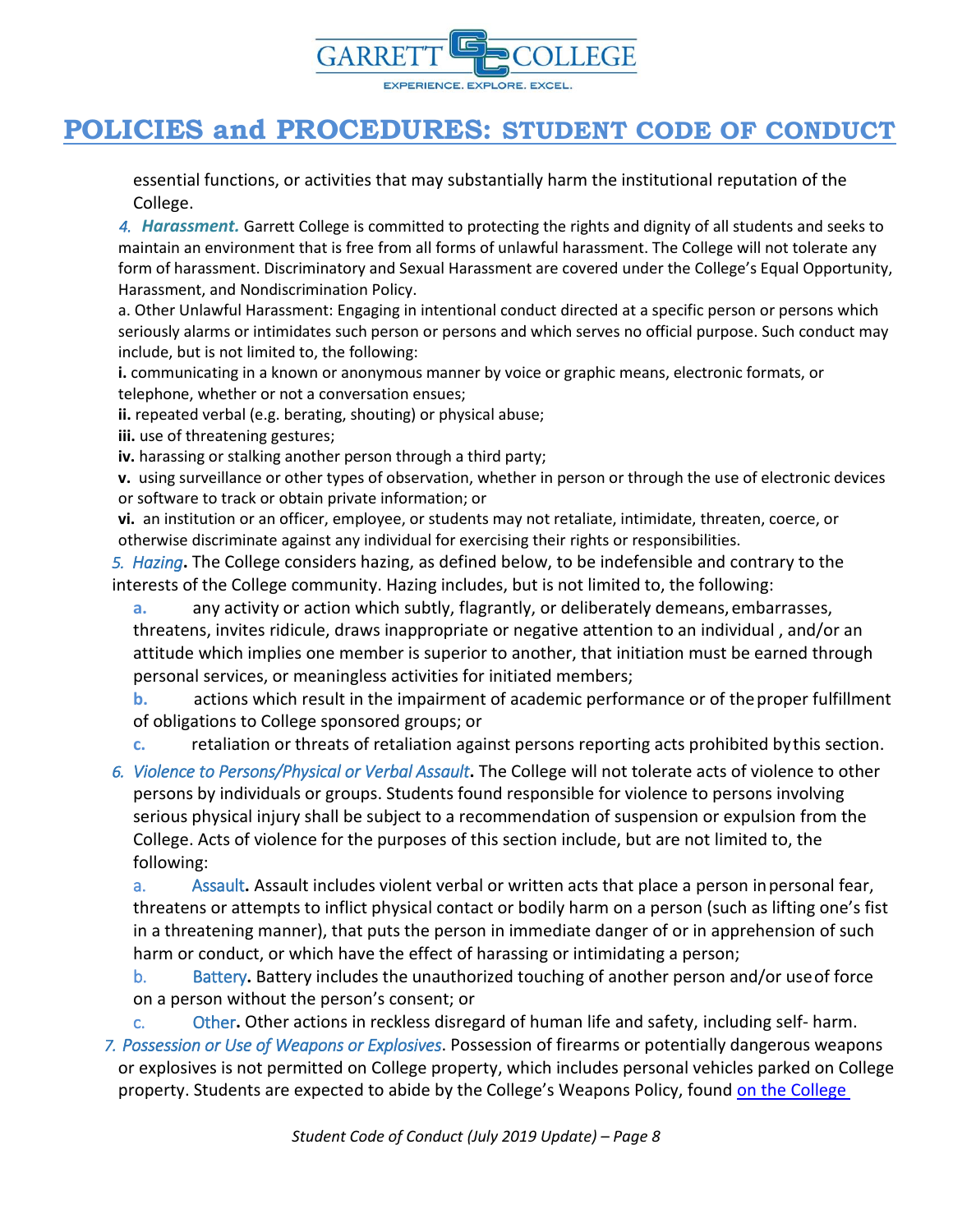

essential functions, or activities that may substantially harm the institutional reputation of the College.

*4. Harassment.* Garrett College is committed to protecting the rights and dignity of all students and seeks to maintain an environment that is free from all forms of unlawful harassment. The College will not tolerate any form of harassment. Discriminatory and Sexual Harassment are covered under the College's Equal Opportunity, Harassment, and Nondiscrimination Policy.

a. Other Unlawful Harassment: Engaging in intentional conduct directed at a specific person or persons which seriously alarms or intimidates such person or persons and which serves no official purpose. Such conduct may include, but is not limited to, the following:

**i.** communicating in a known or anonymous manner by voice or graphic means, electronic formats, or telephone, whether or not a conversation ensues;

**ii.** repeated verbal (e.g. berating, shouting) or physical abuse;

**iii.** use of threatening gestures;

iv. harassing or stalking another person through a third party;

**v.** using surveillance or other types of observation, whether in person or through the use of electronic devices or software to track or obtain private information; or

**vi.** an institution or an officer, employee, or students may not retaliate, intimidate, threaten, coerce, or otherwise discriminate against any individual for exercising their rights or responsibilities.

*5. Hazing***.** The College considers hazing, as defined below, to be indefensible and contrary to the interests of the College community. Hazing includes, but is not limited to, the following:

**a.** any activity or action which subtly, flagrantly, or deliberately demeans,embarrasses, threatens, invites ridicule, draws inappropriate or negative attention to an individual , and/or an attitude which implies one member is superior to another, that initiation must be earned through personal services, or meaningless activities for initiated members;

**b.** actions which result in the impairment of academic performance or of theproper fulfillment of obligations to College sponsored groups; or

**c.** retaliation or threats of retaliation against persons reporting acts prohibited bythis section.

*6. Violence to Persons/Physical or Verbal Assault***.** The College will not tolerate acts of violence to other persons by individuals or groups. Students found responsible for violence to persons involving serious physical injury shall be subject to a recommendation of suspension or expulsion from the College. Acts of violence for the purposes of this section include, but are not limited to, the following:

a. Assault**.** Assault includes violent verbal or written acts that place a person inpersonal fear, threatens or attempts to inflict physical contact or bodily harm on a person (such as lifting one's fist in a threatening manner), that puts the person in immediate danger of or in apprehension of such harm or conduct, or which have the effect of harassing or intimidating a person;

b. Battery**.** Battery includes the unauthorized touching of another person and/or useof force on a person without the person's consent; or

c. Other**.** Other actions in reckless disregard of human life and safety, including self- harm. *7. Possession or Use of Weapons or Explosives*. Possession of firearms or potentially dangerous weapons or explosives is not permitted on College property, which includes personal vehicles parked on College property. Students are expected to abide by the College's Weapons Policy, found on the College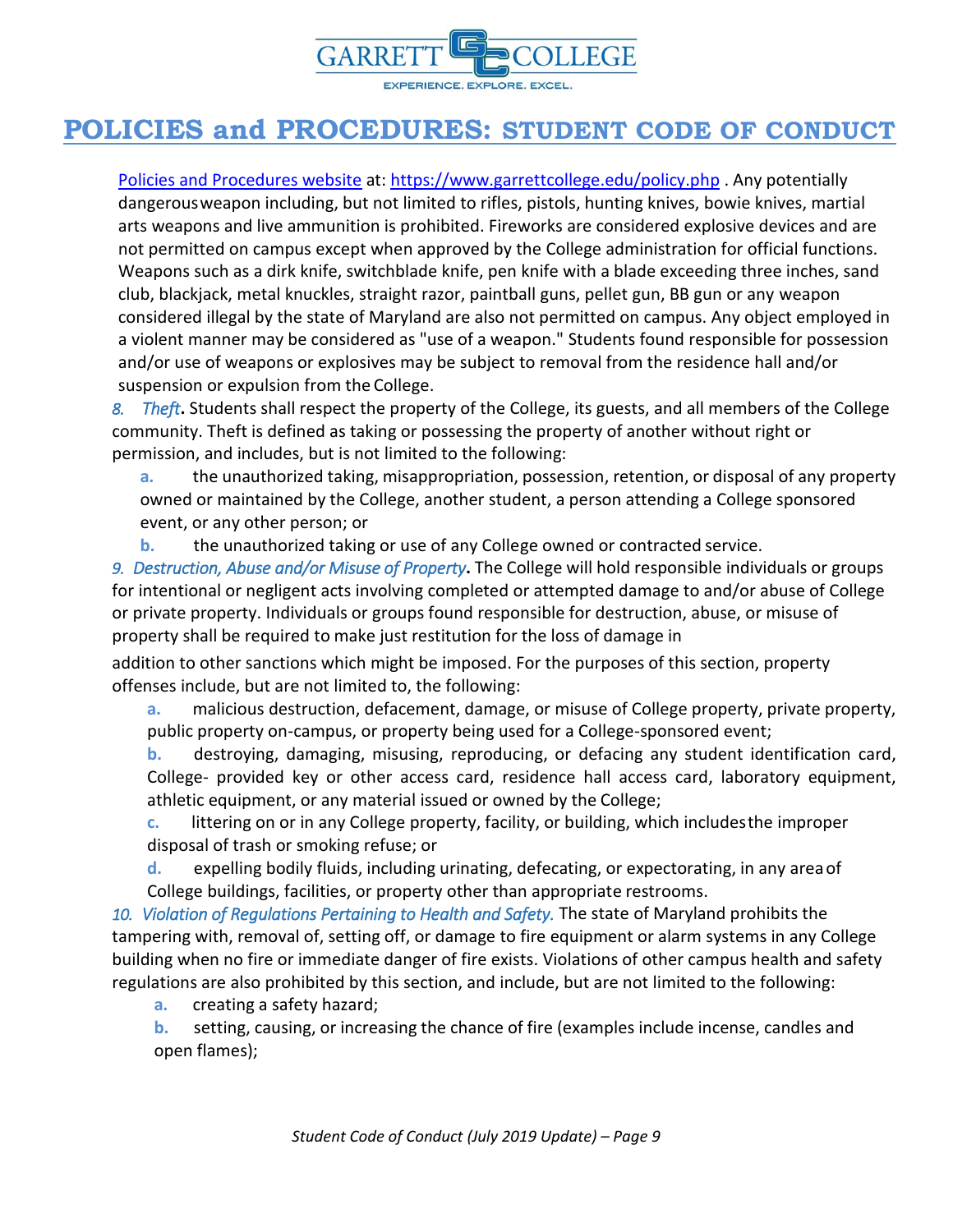

[Policies and Procedures webs](https://www.garrettcollege.edu/policy.php)ite at:<https://www.garrettcollege.edu/policy.php> . Any potentially dangerousweapon including, but not limited to rifles, pistols, hunting knives, bowie knives, martial arts weapons and live ammunition is prohibited. Fireworks are considered explosive devices and are not permitted on campus except when approved by the College administration for official functions. Weapons such as a dirk knife, switchblade knife, pen knife with a blade exceeding three inches, sand club, blackjack, metal knuckles, straight razor, paintball guns, pellet gun, BB gun or any weapon considered illegal by the state of Maryland are also not permitted on campus. Any object employed in a violent manner may be considered as "use of a weapon." Students found responsible for possession and/or use of weapons or explosives may be subject to removal from the residence hall and/or suspension or expulsion from the College.

*8. Theft***.** Students shall respect the property of the College, its guests, and all members of the College community. Theft is defined as taking or possessing the property of another without right or permission, and includes, but is not limited to the following:

**a.** the unauthorized taking, misappropriation, possession, retention, or disposal of any property owned or maintained by the College, another student, a person attending a College sponsored event, or any other person; or

**b.** the unauthorized taking or use of any College owned or contracted service.

*9. Destruction, Abuse and/or Misuse of Property***.** The College will hold responsible individuals or groups for intentional or negligent acts involving completed or attempted damage to and/or abuse of College or private property. Individuals or groups found responsible for destruction, abuse, or misuse of property shall be required to make just restitution for the loss of damage in

addition to other sanctions which might be imposed. For the purposes of this section, property offenses include, but are not limited to, the following:

**a.** malicious destruction, defacement, damage, or misuse of College property, private property, public property on-campus, or property being used for a College-sponsored event;

**b.** destroying, damaging, misusing, reproducing, or defacing any student identification card, College- provided key or other access card, residence hall access card, laboratory equipment, athletic equipment, or any material issued or owned by the College;

**c.** littering on or in any College property, facility, or building, which includesthe improper disposal of trash or smoking refuse; or

**d.** expelling bodily fluids, including urinating, defecating, or expectorating, in any areaof College buildings, facilities, or property other than appropriate restrooms.

*10. Violation of Regulations Pertaining to Health and Safety.* The state of Maryland prohibits the tampering with, removal of, setting off, or damage to fire equipment or alarm systems in any College building when no fire or immediate danger of fire exists. Violations of other campus health and safety regulations are also prohibited by this section, and include, but are not limited to the following:

**a.** creating a safety hazard;

**b.** setting, causing, or increasing the chance of fire (examples include incense, candles and open flames);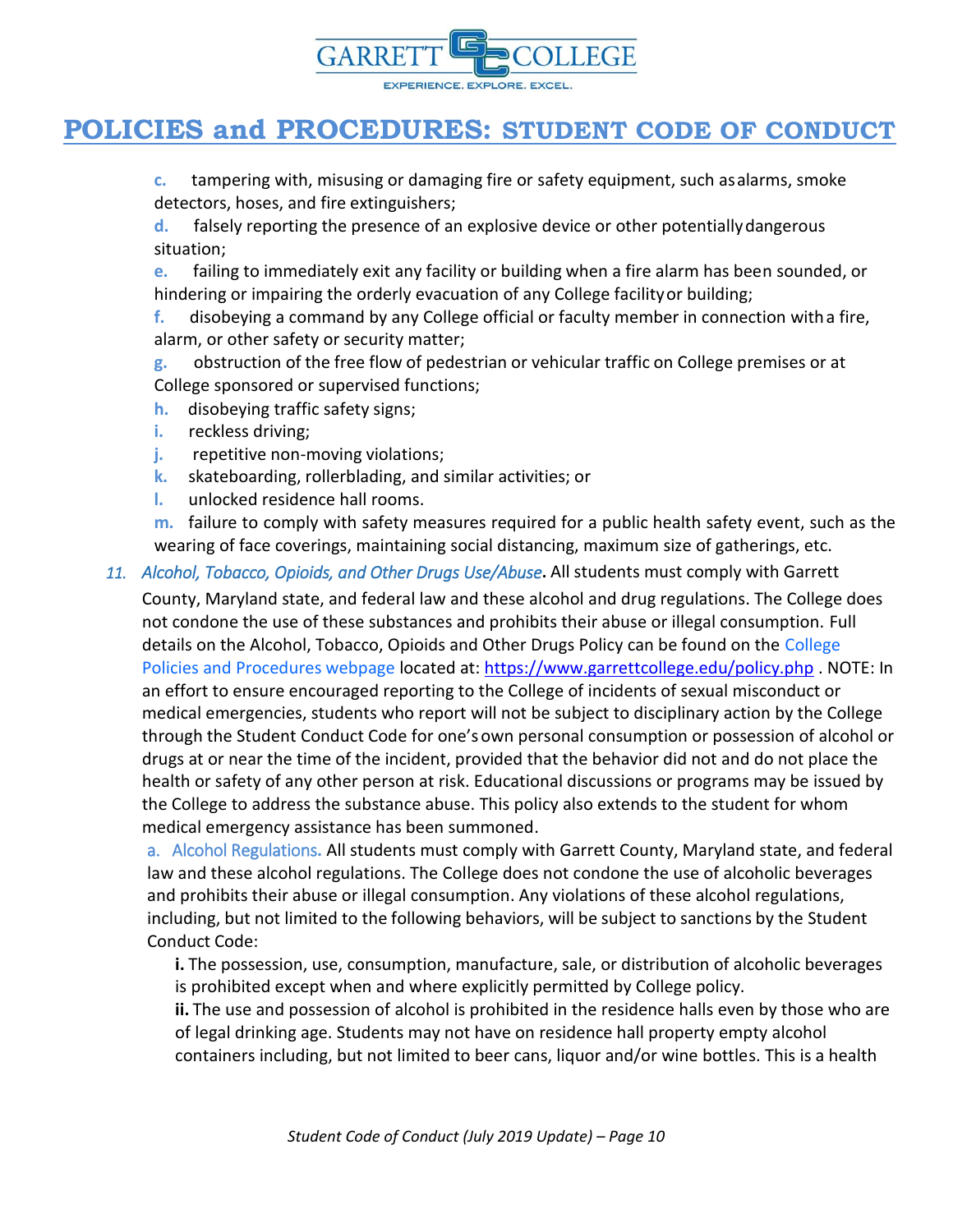

**c.** tampering with, misusing or damaging fire or safety equipment, such asalarms, smoke detectors, hoses, and fire extinguishers;

**d.** falsely reporting the presence of an explosive device or other potentiallydangerous situation;

**e.** failing to immediately exit any facility or building when a fire alarm has been sounded, or hindering or impairing the orderly evacuation of any College facilityor building;

**f.** disobeying a command by any College official or faculty member in connection witha fire, alarm, or other safety or security matter;

**g.** obstruction of the free flow of pedestrian or vehicular traffic on College premises or at College sponsored or supervised functions;

- **h.** disobeying traffic safety signs;
- **i.** reckless driving;
- **j.** repetitive non-moving violations;
- **k.** skateboarding, rollerblading, and similar activities; or
- **l.** unlocked residence hall rooms.

**m.** failure to comply with safety measures required for a public health safety event, such as the wearing of face coverings, maintaining social distancing, maximum size of gatherings, etc.

*11. Alcohol, Tobacco, Opioids, and Other Drugs Use/Abuse***.** All students must comply with Garrett

County, Maryland state, and federal law and these alcohol and drug regulations. The College does not condone the use of these substances and prohibits their abuse or illegal consumption. Full details on the Alcohol, Tobacco, Opioids and Other Drugs Policy can be found on the College Policies and Procedures webpage located at:<https://www.garrettcollege.edu/policy.php> . NOTE: In an effort to ensure encouraged reporting to the College of incidents of sexual misconduct or medical emergencies, students who report will not be subject to disciplinary action by the College through the Student Conduct Code for one'sown personal consumption or possession of alcohol or drugs at or near the time of the incident, provided that the behavior did not and do not place the health or safety of any other person at risk. Educational discussions or programs may be issued by the College to address the substance abuse. This policy also extends to the student for whom medical emergency assistance has been summoned.

a. Alcohol Regulations**.** All students must comply with Garrett County, Maryland state, and federal law and these alcohol regulations. The College does not condone the use of alcoholic beverages and prohibits their abuse or illegal consumption. Any violations of these alcohol regulations, including, but not limited to the following behaviors, will be subject to sanctions by the Student Conduct Code:

**i.** The possession, use, consumption, manufacture, sale, or distribution of alcoholic beverages is prohibited except when and where explicitly permitted by College policy.

**ii.** The use and possession of alcohol is prohibited in the residence halls even by those who are of legal drinking age. Students may not have on residence hall property empty alcohol containers including, but not limited to beer cans, liquor and/or wine bottles. This is a health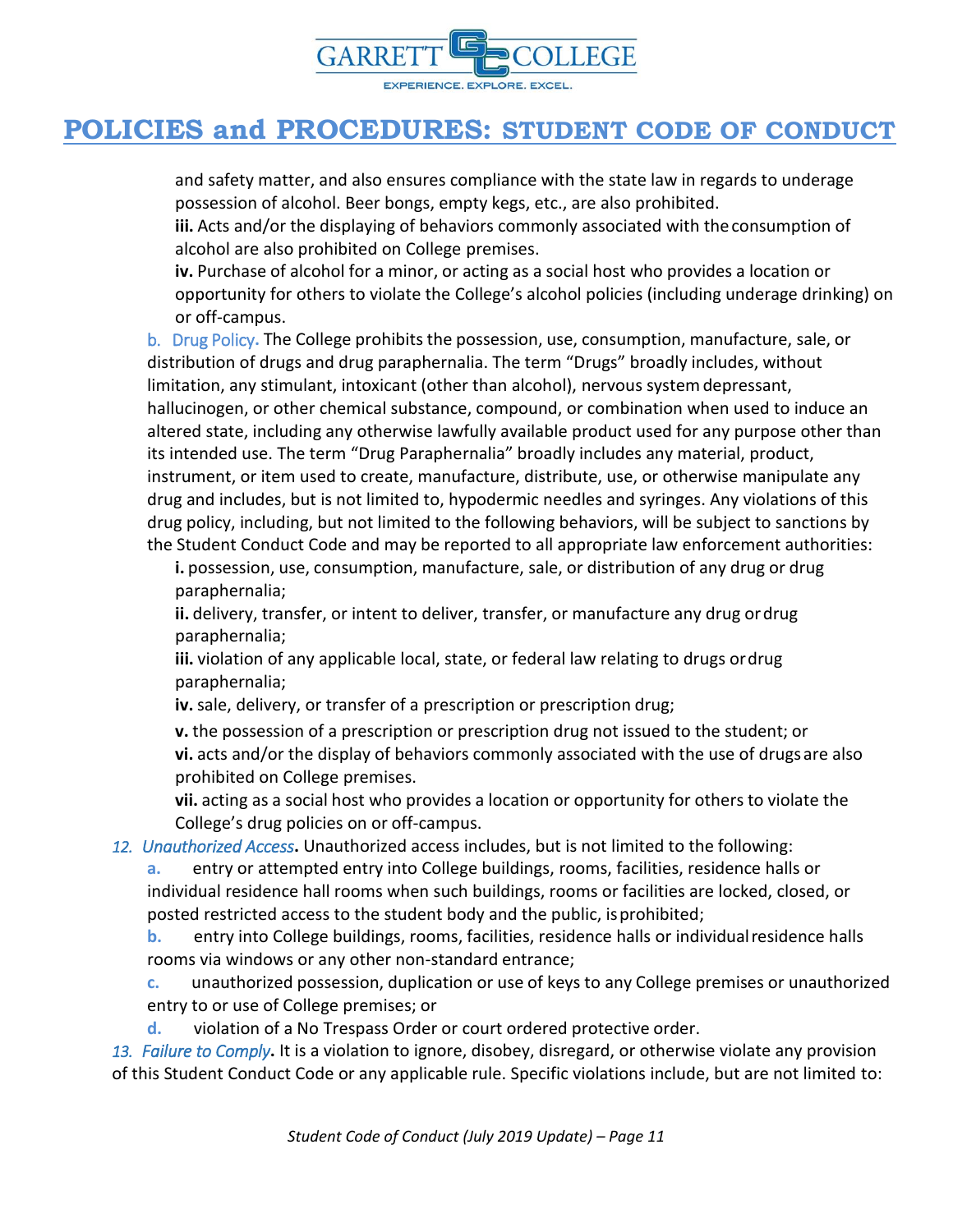

and safety matter, and also ensures compliance with the state law in regards to underage possession of alcohol. Beer bongs, empty kegs, etc., are also prohibited.

**iii.** Acts and/or the displaying of behaviors commonly associated with theconsumption of alcohol are also prohibited on College premises.

**iv.** Purchase of alcohol for a minor, or acting as a social host who provides a location or opportunity for others to violate the College's alcohol policies (including underage drinking) on or off-campus.

b. Drug Policy**.** The College prohibitsthe possession, use, consumption, manufacture, sale, or distribution of drugs and drug paraphernalia. The term "Drugs" broadly includes, without limitation, any stimulant, intoxicant (other than alcohol), nervous systemdepressant, hallucinogen, or other chemical substance, compound, or combination when used to induce an altered state, including any otherwise lawfully available product used for any purpose other than its intended use. The term "Drug Paraphernalia" broadly includes any material, product, instrument, or item used to create, manufacture, distribute, use, or otherwise manipulate any drug and includes, but is not limited to, hypodermic needles and syringes. Any violations of this drug policy, including, but not limited to the following behaviors, will be subject to sanctions by the Student Conduct Code and may be reported to all appropriate law enforcement authorities:

**i.** possession, use, consumption, manufacture, sale, or distribution of any drug or drug paraphernalia;

**ii.** delivery, transfer, or intent to deliver, transfer, or manufacture any drug ordrug paraphernalia;

**iii.** violation of any applicable local, state, or federal law relating to drugs ordrug paraphernalia;

**iv.**sale, delivery, or transfer of a prescription or prescription drug;

**v.** the possession of a prescription or prescription drug not issued to the student; or **vi.** acts and/or the display of behaviors commonly associated with the use of drugs are also prohibited on College premises.

**vii.** acting as a social host who provides a location or opportunity for others to violate the College's drug policies on or off-campus.

*12. Unauthorized Access***.** Unauthorized access includes, but is not limited to the following:

**a.** entry or attempted entry into College buildings, rooms, facilities, residence halls or individual residence hall rooms when such buildings, rooms or facilities are locked, closed, or posted restricted access to the student body and the public, isprohibited;

**b.** entry into College buildings, rooms, facilities, residence halls or individualresidence halls rooms via windows or any other non-standard entrance;

**c.** unauthorized possession, duplication or use of keys to any College premises or unauthorized entry to or use of College premises; or

**d.** violation of a No Trespass Order or court ordered protective order.

*13. Failure to Comply***.** It is a violation to ignore, disobey, disregard, or otherwise violate any provision of this Student Conduct Code or any applicable rule. Specific violations include, but are not limited to: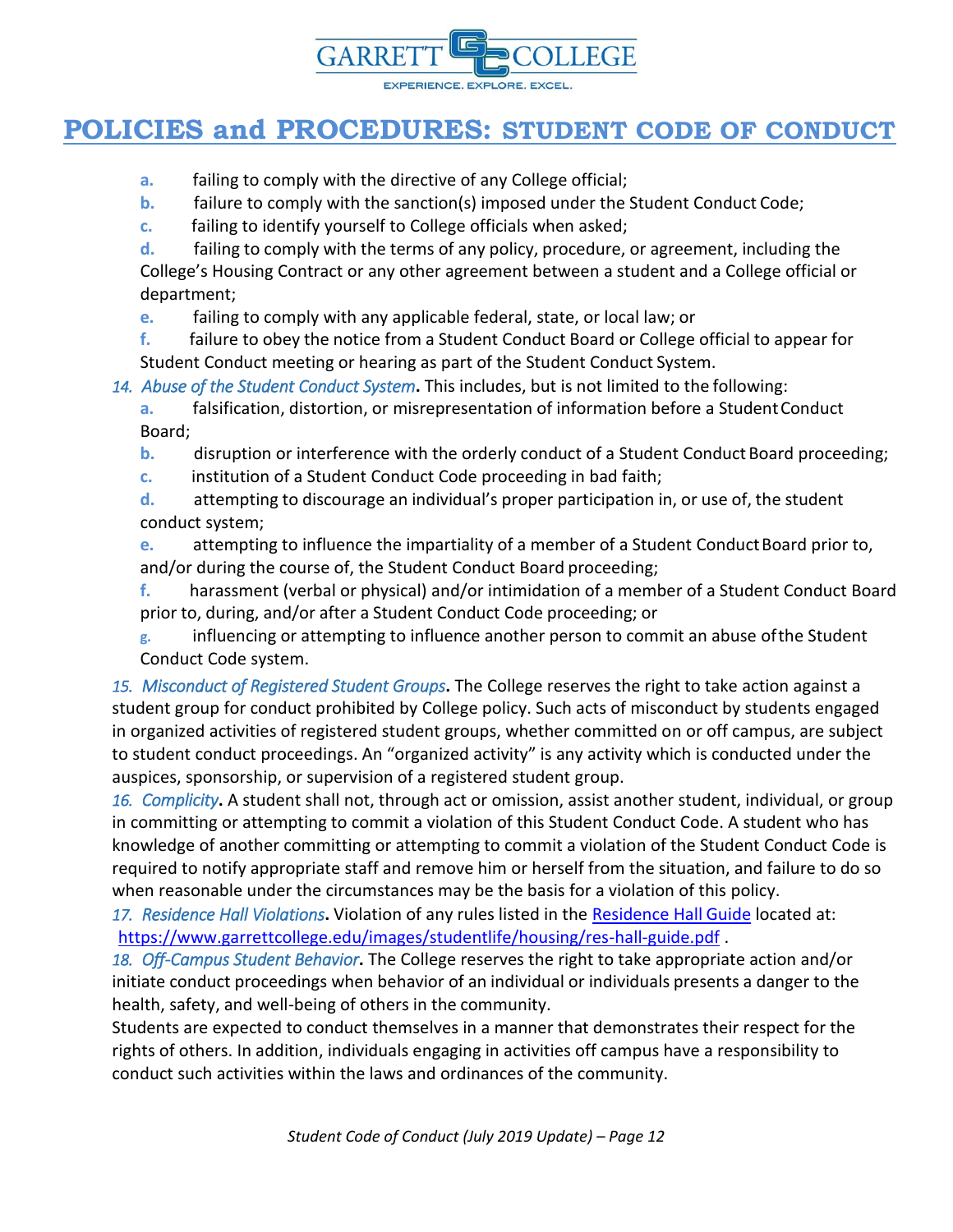

- **a.** failing to comply with the directive of any College official;
- **b.** failure to comply with the sanction(s) imposed under the Student Conduct Code;
- **c.** failing to identify yourself to College officials when asked;
- **d.** failing to comply with the terms of any policy, procedure, or agreement, including the

College's Housing Contract or any other agreement between a student and a College official or department;

**e.** failing to comply with any applicable federal, state, or local law; or

**f.** failure to obey the notice from a Student Conduct Board or College official to appear for Student Conduct meeting or hearing as part of the Student Conduct System.

*14. Abuse of the Student Conduct System***.** This includes, but is not limited to the following:

**a.** falsification, distortion, or misrepresentation of information before a Student Conduct Board;

- **b.** disruption or interference with the orderly conduct of a Student Conduct Board proceeding;
- **c.** institution of a Student Conduct Code proceeding in bad faith;

**d.** attempting to discourage an individual's proper participation in, or use of, the student conduct system;

**e.** attempting to influence the impartiality of a member of a Student Conduct Board prior to, and/or during the course of, the Student Conduct Board proceeding;

**f.** harassment (verbal or physical) and/or intimidation of a member of a Student Conduct Board prior to, during, and/or after a Student Conduct Code proceeding; or

**g.** influencing or attempting to influence another person to commit an abuse ofthe Student Conduct Code system.

*15. Misconduct of Registered Student Groups***.** The College reserves the right to take action against a student group for conduct prohibited by College policy. Such acts of misconduct by students engaged in organized activities of registered student groups, whether committed on or off campus, are subject to student conduct proceedings. An "organized activity" is any activity which is conducted under the auspices, sponsorship, or supervision of a registered student group.

*16. Complicity***.** A student shall not, through act or omission, assist another student, individual, or group in committing or attempting to commit a violation of this Student Conduct Code. A student who has knowledge of another committing or attempting to commit a violation of the Student Conduct Code is required to notify appropriate staff and remove him or herself from the situation, and failure to do so when reasonable under the circumstances may be the basis for a violation of this policy.

*17. Residence Hall Violations***.** Violation of any rules listed in the [Residence Hall](file://///srv-file05.garrettcollege.edu/share/Policies%20and%20Procedures/0000%20POLICY%20REORG%20WORKING%20FOLDER/New%20Policy%20Format/Student%20Services/Student%20Code%20of%20Conduct/Residence%20Hall%20Guide) Guide located at: <https://www.garrettcollege.edu/images/studentlife/housing/res-hall-guide.pdf> .

*18. Off-Campus Student Behavior***.** The College reserves the right to take appropriate action and/or initiate conduct proceedings when behavior of an individual or individuals presents a danger to the health, safety, and well-being of others in the community.

Students are expected to conduct themselves in a manner that demonstrates their respect for the rights of others. In addition, individuals engaging in activities off campus have a responsibility to conduct such activities within the laws and ordinances of the community.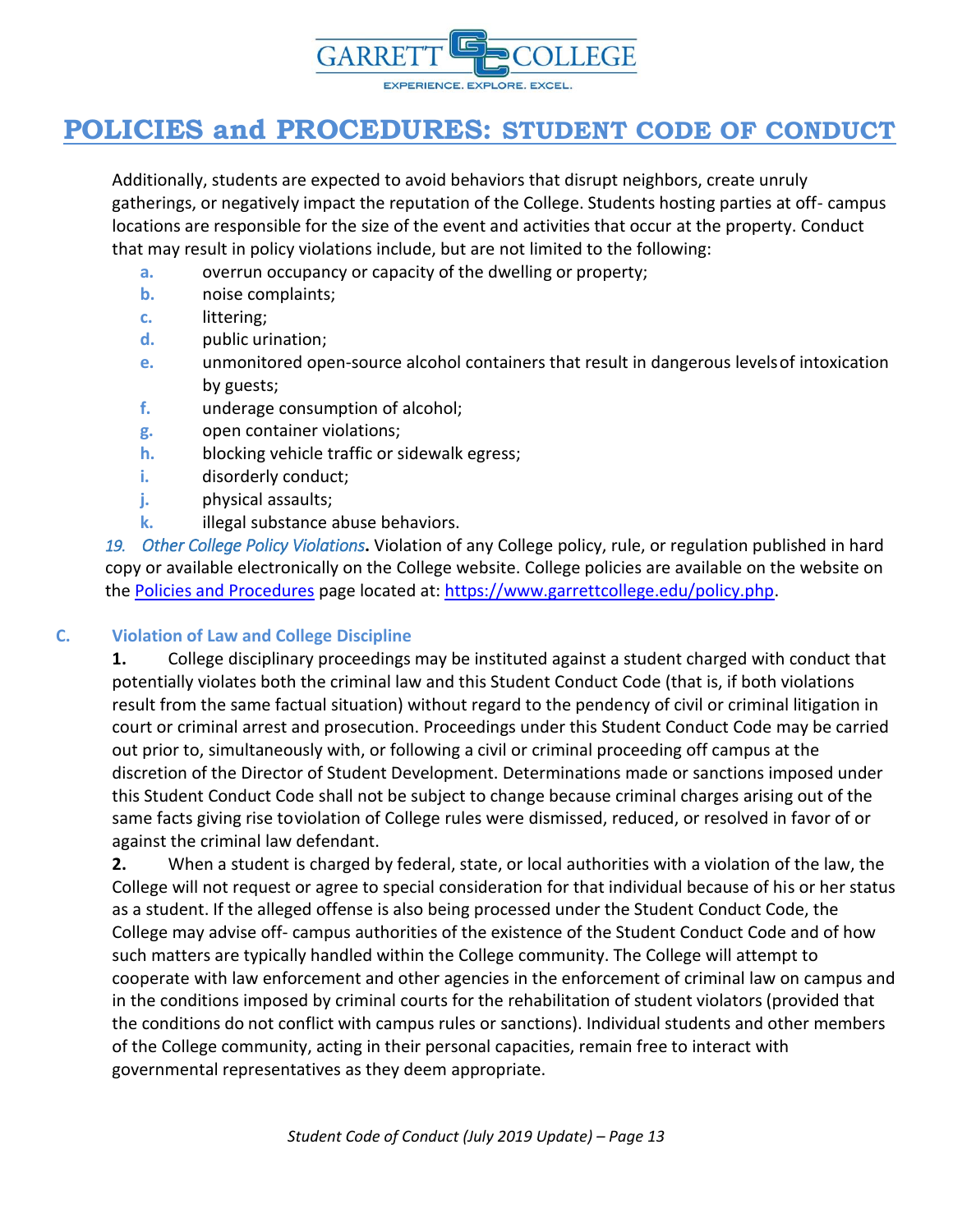

Additionally, students are expected to avoid behaviors that disrupt neighbors, create unruly gatherings, or negatively impact the reputation of the College. Students hosting parties at off- campus locations are responsible for the size of the event and activities that occur at the property. Conduct that may result in policy violations include, but are not limited to the following:

- **a.** overrun occupancy or capacity of the dwelling or property;
- **b.** noise complaints;
- **c.** littering;
- **d.** public urination;
- **e.** unmonitored open-source alcohol containers that result in dangerous levelsof intoxication by guests;
- **f.** underage consumption of alcohol;
- **g.** open container violations;
- **h.** blocking vehicle traffic or sidewalk egress;
- **i.** disorderly conduct;
- **j.** physical assaults;
- **k.** illegal substance abuse behaviors.

*19. Other College Policy Violations***.** Violation of any College policy, rule, or regulation published in hard copy or available electronically on the College website. College policies are available on the website on the [Policies and Procedures](https://www.garrettcollege.edu/policy.php) page located at[: https://www.garrettcollege.edu/policy.php.](https://www.garrettcollege.edu/policy.php)

#### **C. Violation of Law and College Discipline**

**1.** College disciplinary proceedings may be instituted against a student charged with conduct that potentially violates both the criminal law and this Student Conduct Code (that is, if both violations result from the same factual situation) without regard to the pendency of civil or criminal litigation in court or criminal arrest and prosecution. Proceedings under this Student Conduct Code may be carried out prior to, simultaneously with, or following a civil or criminal proceeding off campus at the discretion of the Director of Student Development. Determinations made or sanctions imposed under this Student Conduct Code shall not be subject to change because criminal charges arising out of the same facts giving rise toviolation of College rules were dismissed, reduced, or resolved in favor of or against the criminal law defendant.

**2.** When a student is charged by federal, state, or local authorities with a violation of the law, the College will not request or agree to special consideration for that individual because of his or her status as a student. If the alleged offense is also being processed under the Student Conduct Code, the College may advise off- campus authorities of the existence of the Student Conduct Code and of how such matters are typically handled within the College community. The College will attempt to cooperate with law enforcement and other agencies in the enforcement of criminal law on campus and in the conditions imposed by criminal courts for the rehabilitation of student violators (provided that the conditions do not conflict with campus rules or sanctions). Individual students and other members of the College community, acting in their personal capacities, remain free to interact with governmental representatives as they deem appropriate.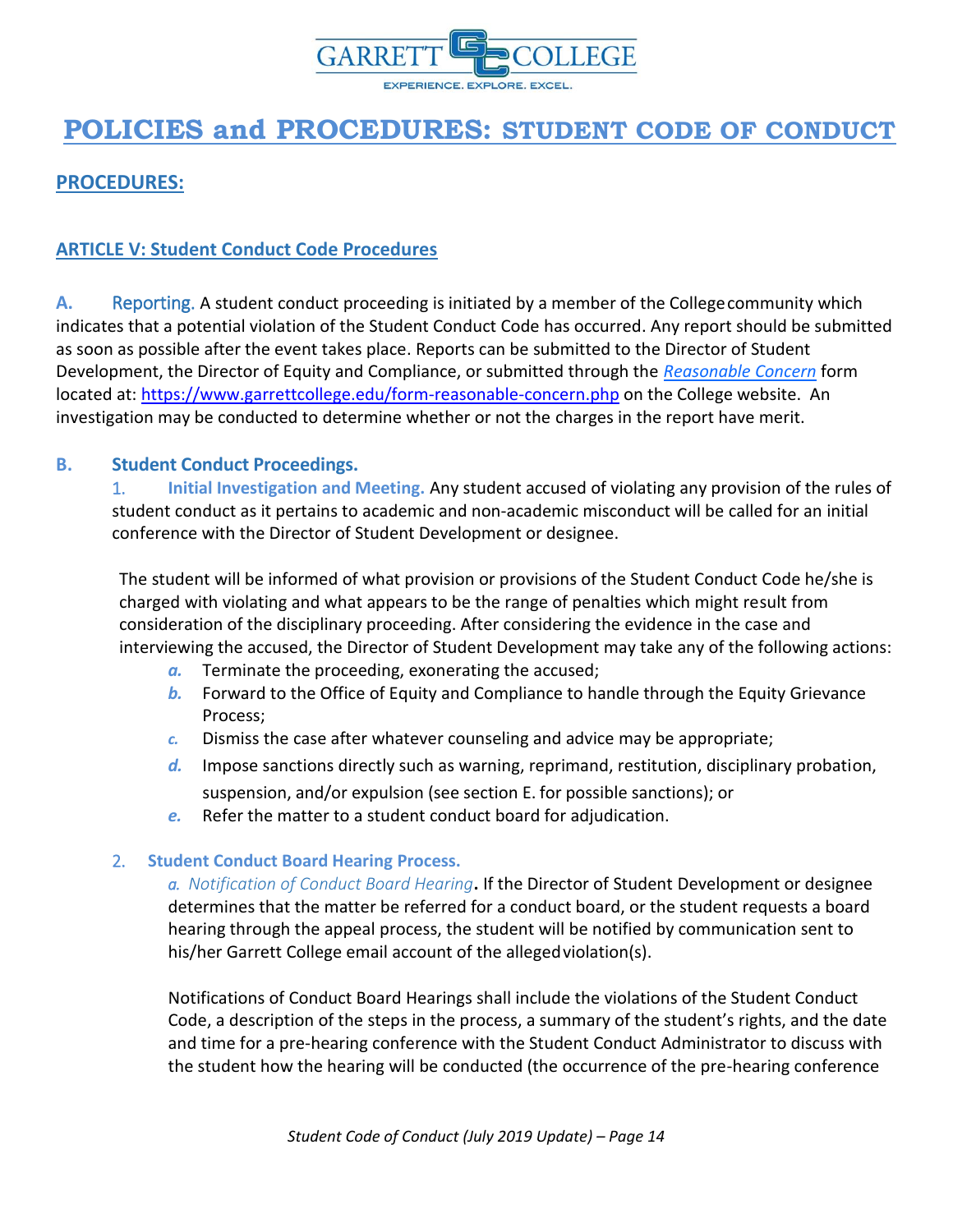

<span id="page-13-0"></span>**PROCEDURES:**

### <span id="page-13-1"></span>**ARTICLE V: Student Conduct Code Procedures**

**A.** Reporting. A student conduct proceeding is initiated by a member of the Collegecommunity which indicates that a potential violation of the Student Conduct Code has occurred. Any report should be submitted as soon as possible after the event takes place. Reports can be submitted to the Director of Student Development, the Director of Equity and Compliance, or submitted through the *[Reasonable Concern](https://www.garrettcollege.edu/form-reasonable-concern.php)* form located at:<https://www.garrettcollege.edu/form-reasonable-concern.php> on the College website. An investigation may be conducted to determine whether or not the charges in the report have merit.

#### **B. Student Conduct Proceedings.**

1. **Initial Investigation and Meeting.** Any student accused of violating any provision of the rules of student conduct as it pertains to academic and non-academic misconduct will be called for an initial conference with the Director of Student Development or designee.

The student will be informed of what provision or provisions of the Student Conduct Code he/she is charged with violating and what appears to be the range of penalties which might result from consideration of the disciplinary proceeding. After considering the evidence in the case and interviewing the accused, the Director of Student Development may take any of the following actions:

- *a.* Terminate the proceeding, exonerating the accused;
- *b.* Forward to the Office of Equity and Compliance to handle through the Equity Grievance Process;
- *c.* Dismiss the case after whatever counseling and advice may be appropriate;
- *d.* Impose sanctions directly such as warning, reprimand, restitution, disciplinary probation, suspension, and/or expulsion (see section E. for possible sanctions); or
- *e.* Refer the matter to a student conduct board for adjudication.

#### 2. **Student Conduct Board Hearing Process.**

*a. Notification of Conduct Board Hearing***.** If the Director of Student Development or designee determines that the matter be referred for a conduct board, or the student requests a board hearing through the appeal process, the student will be notified by communication sent to his/her Garrett College email account of the allegedviolation(s).

Notifications of Conduct Board Hearings shall include the violations of the Student Conduct Code, a description of the steps in the process, a summary of the student's rights, and the date and time for a pre-hearing conference with the Student Conduct Administrator to discuss with the student how the hearing will be conducted (the occurrence of the pre-hearing conference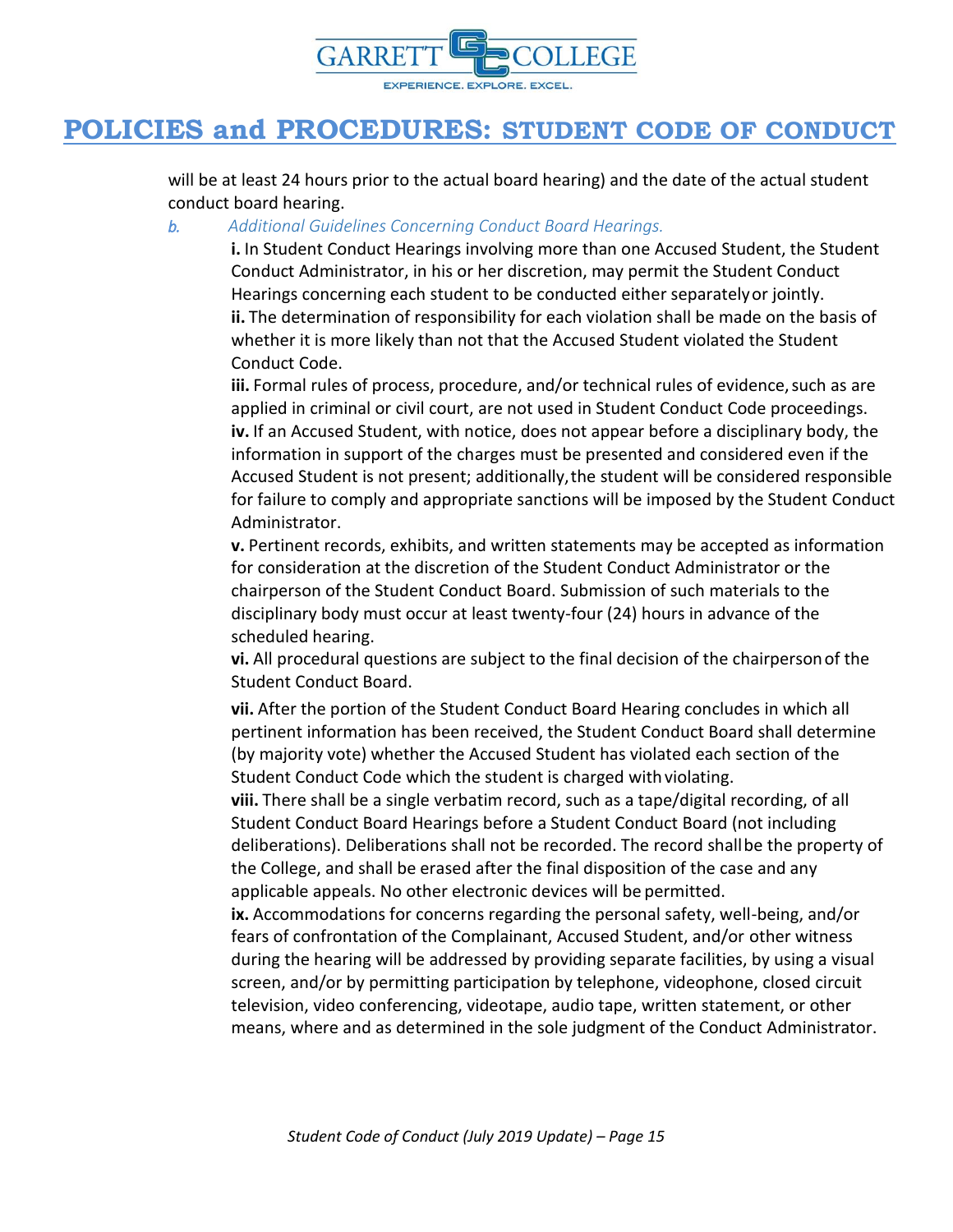

will be at least 24 hours prior to the actual board hearing) and the date of the actual student conduct board hearing.

#### *b. Additional Guidelines Concerning Conduct Board Hearings.*

**i.** In Student Conduct Hearings involving more than one Accused Student, the Student Conduct Administrator, in his or her discretion, may permit the Student Conduct Hearings concerning each student to be conducted either separatelyor jointly. **ii.** The determination of responsibility for each violation shall be made on the basis of whether it is more likely than not that the Accused Student violated the Student Conduct Code.

iii. Formal rules of process, procedure, and/or technical rules of evidence, such as are applied in criminal or civil court, are not used in Student Conduct Code proceedings. **iv.** If an Accused Student, with notice, does not appear before a disciplinary body, the information in support of the charges must be presented and considered even if the Accused Student is not present; additionally,the student will be considered responsible for failure to comply and appropriate sanctions will be imposed by the Student Conduct Administrator.

**v.** Pertinent records, exhibits, and written statements may be accepted as information for consideration at the discretion of the Student Conduct Administrator or the chairperson of the Student Conduct Board. Submission of such materials to the disciplinary body must occur at least twenty-four (24) hours in advance of the scheduled hearing.

**vi.** All procedural questions are subject to the final decision of the chairpersonof the Student Conduct Board.

**vii.** After the portion of the Student Conduct Board Hearing concludes in which all pertinent information has been received, the Student Conduct Board shall determine (by majority vote) whether the Accused Student has violated each section of the Student Conduct Code which the student is charged with violating.

**viii.** There shall be a single verbatim record, such as a tape/digital recording, of all Student Conduct Board Hearings before a Student Conduct Board (not including deliberations). Deliberations shall not be recorded. The record shallbe the property of the College, and shall be erased after the final disposition of the case and any applicable appeals. No other electronic devices will be permitted.

**ix.** Accommodations for concerns regarding the personal safety, well-being, and/or fears of confrontation of the Complainant, Accused Student, and/or other witness during the hearing will be addressed by providing separate facilities, by using a visual screen, and/or by permitting participation by telephone, videophone, closed circuit television, video conferencing, videotape, audio tape, written statement, or other means, where and as determined in the sole judgment of the Conduct Administrator.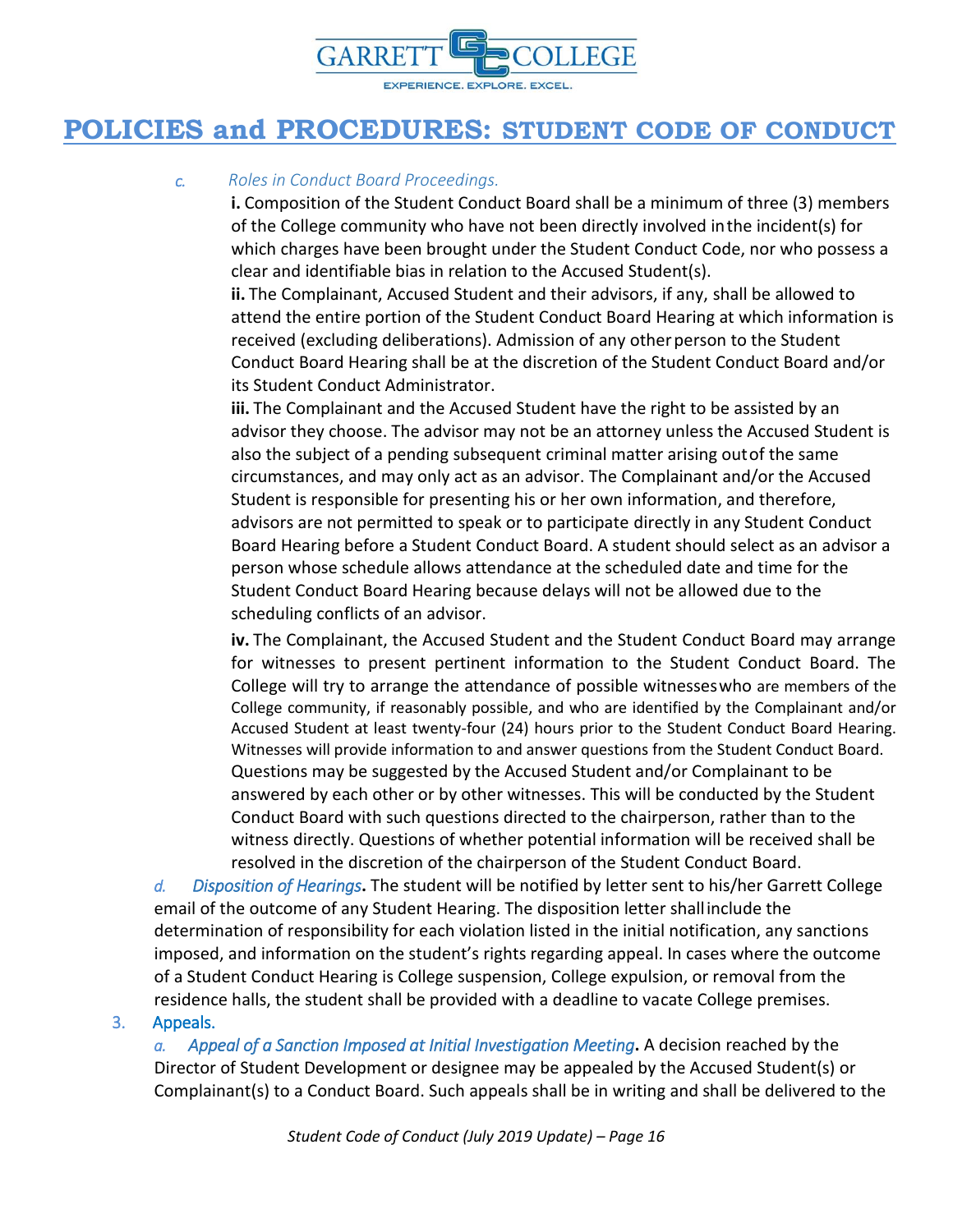

#### *c. Roles in Conduct Board Proceedings.*

**i.** Composition of the Student Conduct Board shall be a minimum of three (3) members of the College community who have not been directly involved inthe incident(s) for which charges have been brought under the Student Conduct Code, nor who possess a clear and identifiable bias in relation to the Accused Student(s).

**ii.** The Complainant, Accused Student and their advisors, if any, shall be allowed to attend the entire portion of the Student Conduct Board Hearing at which information is received (excluding deliberations). Admission of any other person to the Student Conduct Board Hearing shall be at the discretion of the Student Conduct Board and/or its Student Conduct Administrator.

**iii.** The Complainant and the Accused Student have the right to be assisted by an advisor they choose. The advisor may not be an attorney unless the Accused Student is also the subject of a pending subsequent criminal matter arising outof the same circumstances, and may only act as an advisor. The Complainant and/or the Accused Student is responsible for presenting his or her own information, and therefore, advisors are not permitted to speak or to participate directly in any Student Conduct Board Hearing before a Student Conduct Board. A student should select as an advisor a person whose schedule allows attendance at the scheduled date and time for the Student Conduct Board Hearing because delays will not be allowed due to the scheduling conflicts of an advisor.

**iv.** The Complainant, the Accused Student and the Student Conduct Board may arrange for witnesses to present pertinent information to the Student Conduct Board. The College will try to arrange the attendance of possible witnesseswho are members of the College community, if reasonably possible, and who are identified by the Complainant and/or Accused Student at least twenty-four (24) hours prior to the Student Conduct Board Hearing. Witnesses will provide information to and answer questions from the Student Conduct Board. Questions may be suggested by the Accused Student and/or Complainant to be answered by each other or by other witnesses. This will be conducted by the Student Conduct Board with such questions directed to the chairperson, rather than to the witness directly. Questions of whether potential information will be received shall be resolved in the discretion of the chairperson of the Student Conduct Board.

*d. Disposition of Hearings***.** The student will be notified by letter sent to his/her Garrett College email of the outcome of any Student Hearing. The disposition letter shallinclude the determination of responsibility for each violation listed in the initial notification, any sanctions imposed, and information on the student's rights regarding appeal. In cases where the outcome of a Student Conduct Hearing is College suspension, College expulsion, or removal from the residence halls, the student shall be provided with a deadline to vacate College premises.

#### 3. Appeals.

*a. Appeal of a Sanction Imposed at Initial Investigation Meeting***.** A decision reached by the Director of Student Development or designee may be appealed by the Accused Student(s) or Complainant(s) to a Conduct Board. Such appeals shall be in writing and shall be delivered to the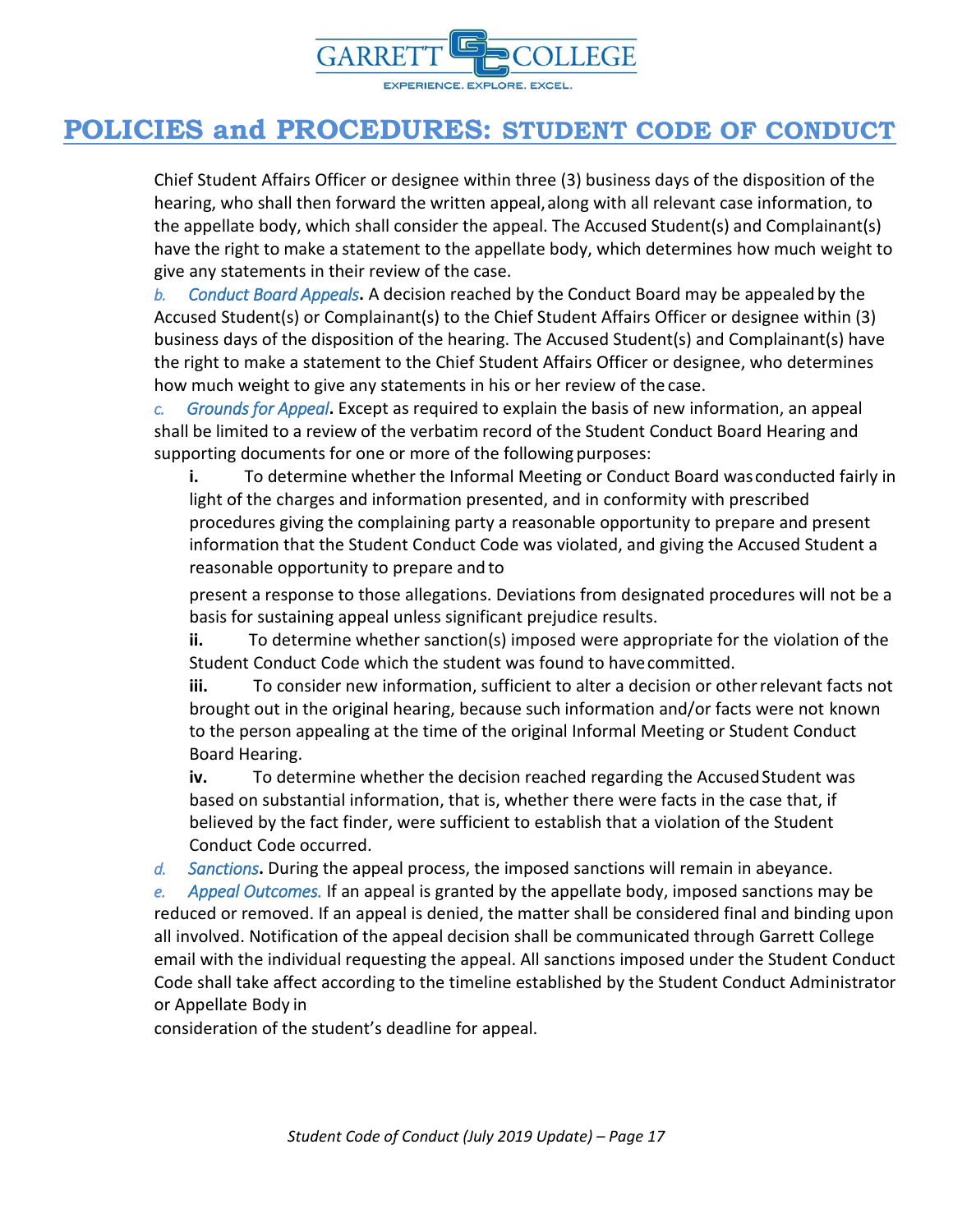

Chief Student Affairs Officer or designee within three (3) business days of the disposition of the hearing, who shall then forward the written appeal,along with all relevant case information, to the appellate body, which shall consider the appeal. The Accused Student(s) and Complainant(s) have the right to make a statement to the appellate body, which determines how much weight to give any statements in their review of the case.

*b. Conduct Board Appeals***.** A decision reached by the Conduct Board may be appealed by the Accused Student(s) or Complainant(s) to the Chief Student Affairs Officer or designee within (3) business days of the disposition of the hearing. The Accused Student(s) and Complainant(s) have the right to make a statement to the Chief Student Affairs Officer or designee, who determines how much weight to give any statements in his or her review of the case.

*c. Grounds for Appeal***.** Except as required to explain the basis of new information, an appeal shall be limited to a review of the verbatim record of the Student Conduct Board Hearing and supporting documents for one or more of the following purposes:

**i.** To determine whether the Informal Meeting or Conduct Board wasconducted fairly in light of the charges and information presented, and in conformity with prescribed procedures giving the complaining party a reasonable opportunity to prepare and present information that the Student Conduct Code was violated, and giving the Accused Student a reasonable opportunity to prepare and to

present a response to those allegations. Deviations from designated procedures will not be a basis for sustaining appeal unless significant prejudice results.

**ii.** To determine whether sanction(s) imposed were appropriate for the violation of the Student Conduct Code which the student was found to havecommitted.

**iii.** To consider new information, sufficient to alter a decision or otherrelevant facts not brought out in the original hearing, because such information and/or facts were not known to the person appealing at the time of the original Informal Meeting or Student Conduct Board Hearing.

**iv.** To determine whether the decision reached regarding the Accused Student was based on substantial information, that is, whether there were facts in the case that, if believed by the fact finder, were sufficient to establish that a violation of the Student Conduct Code occurred.

*d. Sanctions***.** During the appeal process, the imposed sanctions will remain in abeyance.

*e. Appeal Outcomes.* If an appeal is granted by the appellate body, imposed sanctions may be reduced or removed. If an appeal is denied, the matter shall be considered final and binding upon all involved. Notification of the appeal decision shall be communicated through Garrett College email with the individual requesting the appeal. All sanctions imposed under the Student Conduct Code shall take affect according to the timeline established by the Student Conduct Administrator or Appellate Body in

consideration of the student's deadline for appeal.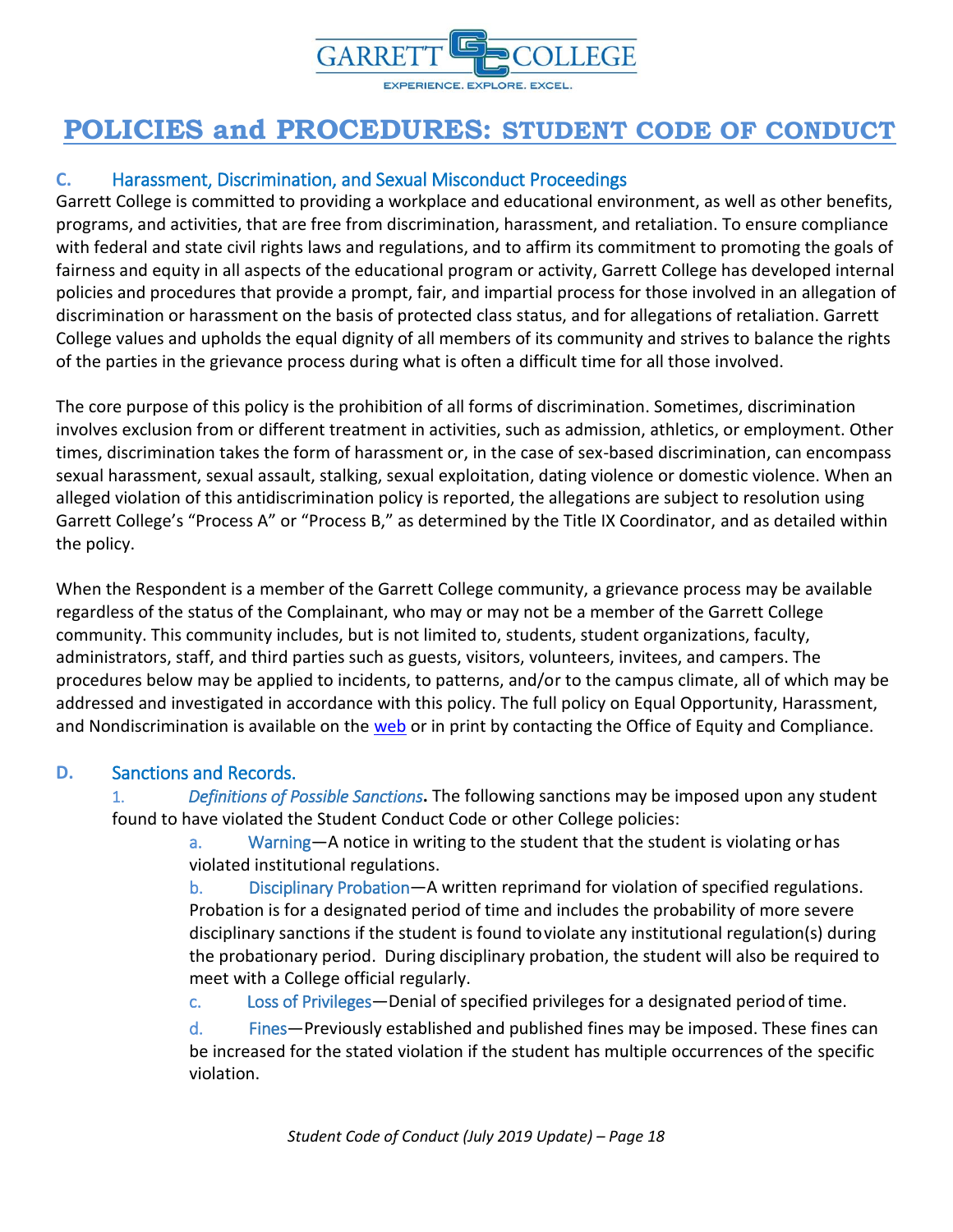

### **C.** Harassment, Discrimination, and Sexual Misconduct Proceedings

Garrett College is committed to providing a workplace and educational environment, as well as other benefits, programs, and activities, that are free from discrimination, harassment, and retaliation. To ensure compliance with federal and state civil rights laws and regulations, and to affirm its commitment to promoting the goals of fairness and equity in all aspects of the educational program or activity, Garrett College has developed internal policies and procedures that provide a prompt, fair, and impartial process for those involved in an allegation of discrimination or harassment on the basis of protected class status, and for allegations of retaliation. Garrett College values and upholds the equal dignity of all members of its community and strives to balance the rights of the parties in the grievance process during what is often a difficult time for all those involved.

The core purpose of this policy is the prohibition of all forms of discrimination. Sometimes, discrimination involves exclusion from or different treatment in activities, such as admission, athletics, or employment. Other times, discrimination takes the form of harassment or, in the case of sex-based discrimination, can encompass sexual harassment, sexual assault, stalking, sexual exploitation, dating violence or domestic violence. When an alleged violation of this antidiscrimination policy is reported, the allegations are subject to resolution using Garrett College's "Process A" or "Process B," as determined by the Title IX Coordinator, and as detailed within the policy.

When the Respondent is a member of the Garrett College community, a grievance process may be available regardless of the status of the Complainant, who may or may not be a member of the Garrett College community. This community includes, but is not limited to, students, student organizations, faculty, administrators, staff, and third parties such as guests, visitors, volunteers, invitees, and campers. The procedures below may be applied to incidents, to patterns, and/or to the campus climate, all of which may be addressed and investigated in accordance with this policy. The full policy on Equal Opportunity, Harassment, and Nondiscrimination is available on the [web](https://www.garrettcollege.edu/policy.php) or in print by contacting the Office of Equity and Compliance.

#### **D.** Sanctions and Records.

1. *Definitions of Possible Sanctions***.** The following sanctions may be imposed upon any student found to have violated the Student Conduct Code or other College policies:

> a. Warning—A notice in writing to the student that the student is violating orhas violated institutional regulations.

b. Disciplinary Probation—A written reprimand for violation of specified regulations. Probation is for a designated period of time and includes the probability of more severe disciplinary sanctions if the student is found toviolate any institutional regulation(s) during the probationary period. During disciplinary probation, the student will also be required to meet with a College official regularly.

c. Loss of Privileges—Denial of specified privileges for a designated period of time.

d. Fines—Previously established and published fines may be imposed. These fines can be increased for the stated violation if the student has multiple occurrences of the specific violation.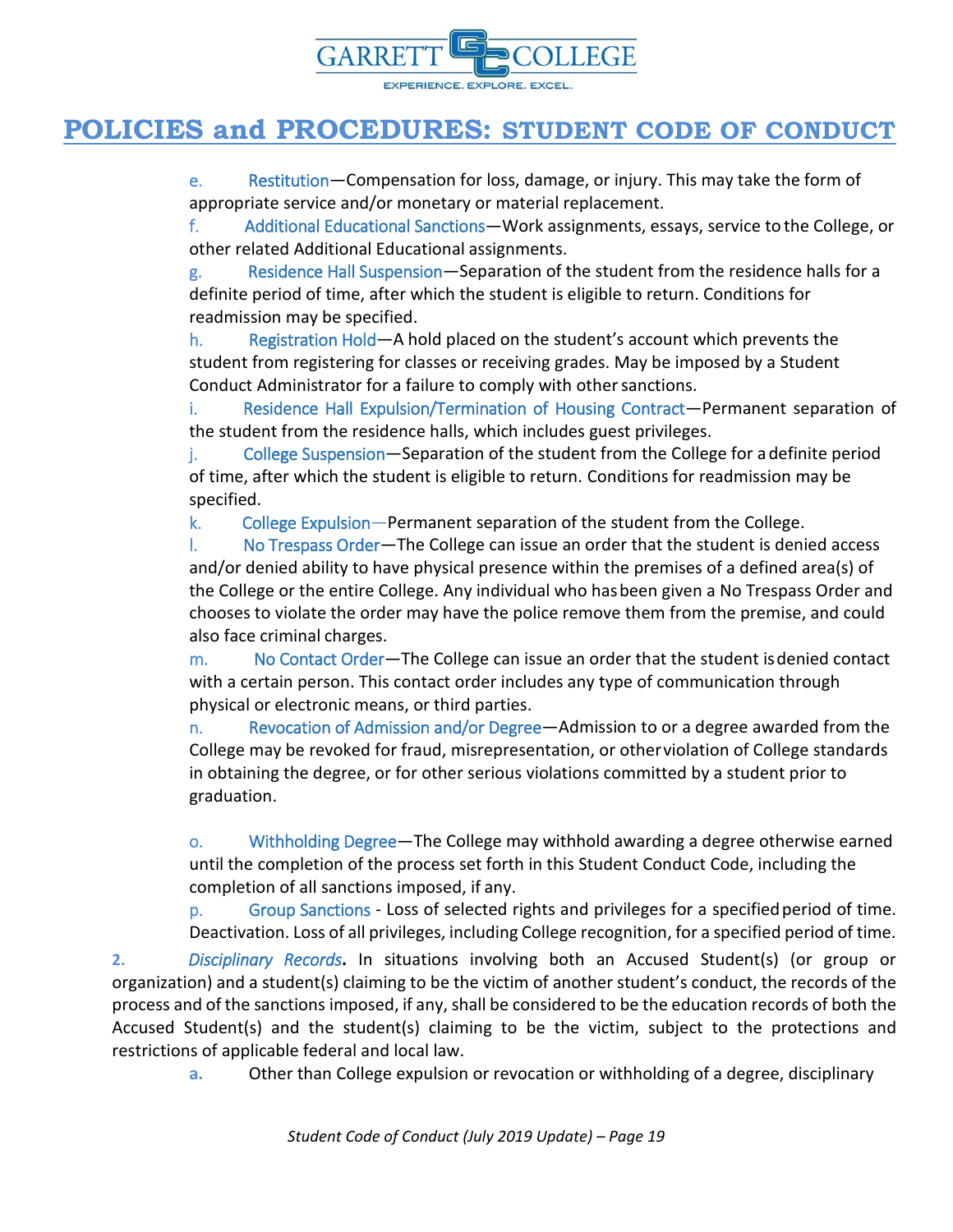![](_page_18_Picture_0.jpeg)

e. Restitution—Compensation for loss, damage, or injury. This may take the form of appropriate service and/or monetary or material replacement.

f. Additional Educational Sanctions—Work assignments, essays, service to the College, or other related Additional Educational assignments.

g. Residence Hall Suspension—Separation of the student from the residence halls for a definite period of time, after which the student is eligible to return. Conditions for readmission may be specified.

h. Registration Hold—A hold placed on the student's account which prevents the student from registering for classes or receiving grades. May be imposed by a Student Conduct Administrator for a failure to comply with other sanctions.

i. Residence Hall Expulsion/Termination of Housing Contract—Permanent separation of the student from the residence halls, which includes guest privileges.

j. College Suspension—Separation of the student from the College for adefinite period of time, after which the student is eligible to return. Conditions for readmission may be specified.

k. College Expulsion—Permanent separation of the student from the College.

l. No Trespass Order—The College can issue an order that the student is denied access and/or denied ability to have physical presence within the premises of a defined area(s) of the College or the entire College. Any individual who hasbeen given a No Trespass Order and chooses to violate the order may have the police remove them from the premise, and could also face criminal charges.

m. No Contact Order—The College can issue an order that the student isdenied contact with a certain person. This contact order includes any type of communication through physical or electronic means, or third parties.

n. Revocation of Admission and/or Degree—Admission to or a degree awarded from the College may be revoked for fraud, misrepresentation, or otherviolation of College standards in obtaining the degree, or for other serious violations committed by a student prior to graduation.

o. Withholding Degree—The College may withhold awarding a degree otherwise earned until the completion of the process set forth in this Student Conduct Code, including the completion of all sanctions imposed, if any.

p. Group Sanctions - Loss of selected rights and privileges for a specifiedperiod of time. Deactivation. Loss of all privileges, including College recognition, for a specified period of time.

**2.** *Disciplinary Records***.** In situations involving both an Accused Student(s) (or group or organization) and a student(s) claiming to be the victim of another student's conduct, the records of the process and of the sanctions imposed, if any, shall be considered to be the education records of both the Accused Student(s) and the student(s) claiming to be the victim, subject to the protections and restrictions of applicable federal and local law.

**a.** Other than College expulsion or revocation or withholding of a degree, disciplinary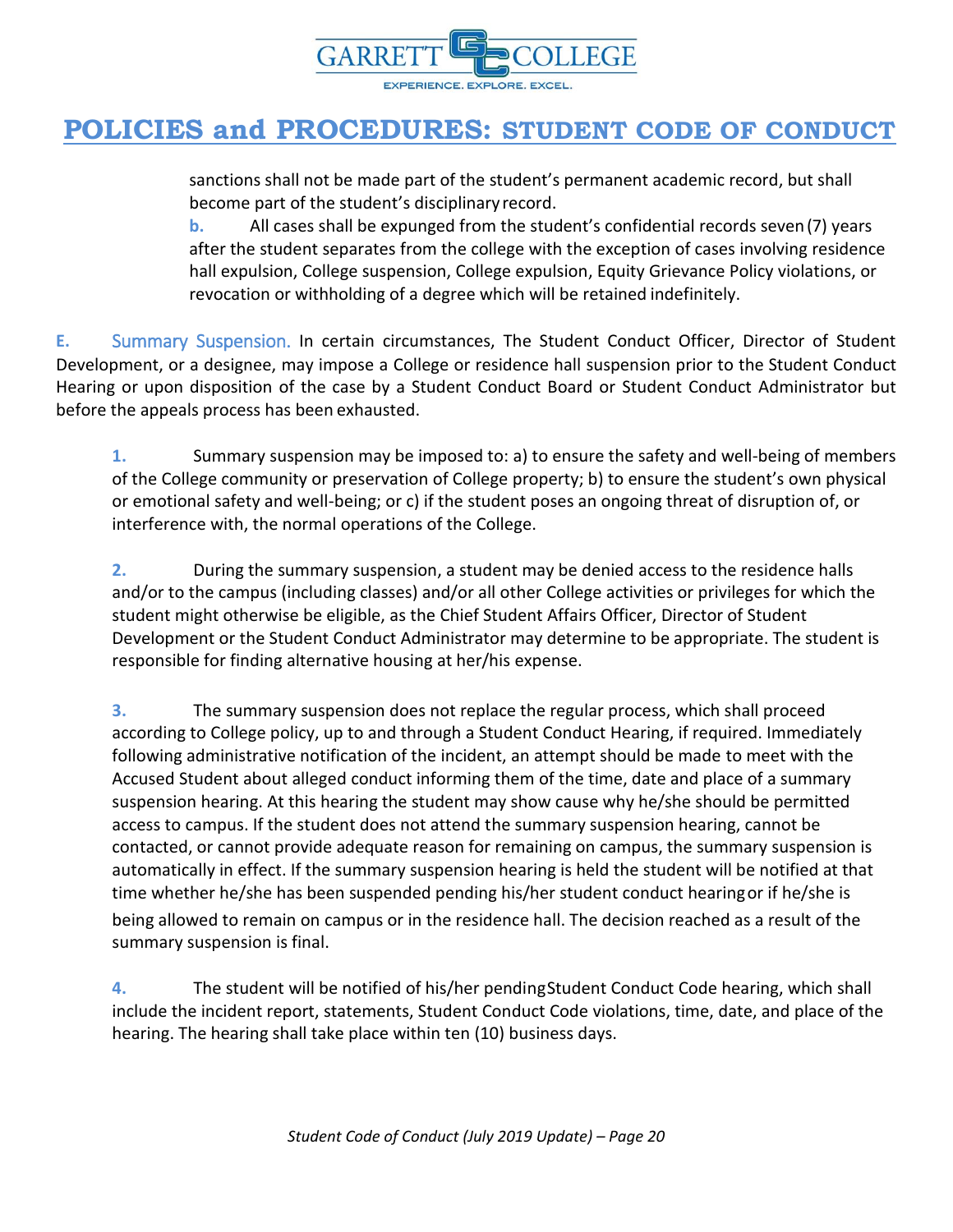![](_page_19_Picture_0.jpeg)

sanctions shall not be made part of the student's permanent academic record, but shall become part of the student's disciplinary record.

**b.** All cases shall be expunged from the student's confidential records seven(7) years after the student separates from the college with the exception of cases involving residence hall expulsion, College suspension, College expulsion, Equity Grievance Policy violations, or revocation or withholding of a degree which will be retained indefinitely.

**E.** Summary Suspension. In certain circumstances, The Student Conduct Officer, Director of Student Development, or a designee, may impose a College or residence hall suspension prior to the Student Conduct Hearing or upon disposition of the case by a Student Conduct Board or Student Conduct Administrator but before the appeals process has been exhausted.

**1.** Summary suspension may be imposed to: a) to ensure the safety and well-being of members of the College community or preservation of College property; b) to ensure the student's own physical or emotional safety and well-being; or c) if the student poses an ongoing threat of disruption of, or interference with, the normal operations of the College.

**2.** During the summary suspension, a student may be denied access to the residence halls and/or to the campus (including classes) and/or all other College activities or privileges for which the student might otherwise be eligible, as the Chief Student Affairs Officer, Director of Student Development or the Student Conduct Administrator may determine to be appropriate. The student is responsible for finding alternative housing at her/his expense.

**3.** The summary suspension does not replace the regular process, which shall proceed according to College policy, up to and through a Student Conduct Hearing, if required. Immediately following administrative notification of the incident, an attempt should be made to meet with the Accused Student about alleged conduct informing them of the time, date and place of a summary suspension hearing. At this hearing the student may show cause why he/she should be permitted access to campus. If the student does not attend the summary suspension hearing, cannot be contacted, or cannot provide adequate reason for remaining on campus, the summary suspension is automatically in effect. If the summary suspension hearing is held the student will be notified at that time whether he/she has been suspended pending his/her student conduct hearingor if he/she is being allowed to remain on campus or in the residence hall. The decision reached as a result of the summary suspension is final.

**4.** The student will be notified of his/her pendingStudent Conduct Code hearing, which shall include the incident report, statements, Student Conduct Code violations, time, date, and place of the hearing. The hearing shall take place within ten (10) business days.